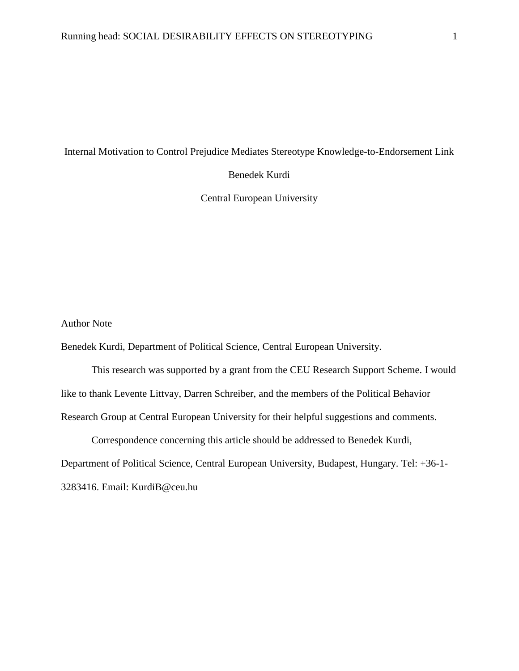# Internal Motivation to Control Prejudice Mediates Stereotype Knowledge-to-Endorsement Link

Benedek Kurdi

Central European University

Author Note

Benedek Kurdi, Department of Political Science, Central European University.

This research was supported by a grant from the CEU Research Support Scheme. I would like to thank Levente Littvay, Darren Schreiber, and the members of the Political Behavior Research Group at Central European University for their helpful suggestions and comments.

Correspondence concerning this article should be addressed to Benedek Kurdi, Department of Political Science, Central European University, Budapest, Hungary. Tel: +36-1- 3283416. Email: KurdiB@ceu.hu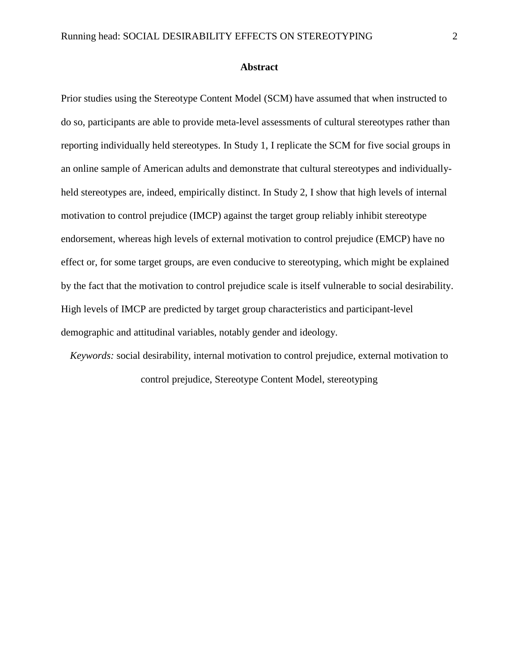#### **Abstract**

Prior studies using the Stereotype Content Model (SCM) have assumed that when instructed to do so, participants are able to provide meta-level assessments of cultural stereotypes rather than reporting individually held stereotypes. In Study 1, I replicate the SCM for five social groups in an online sample of American adults and demonstrate that cultural stereotypes and individually held stereotypes are, indeed, empirically distinct. In Study 2, I show that high levels of internal motivation to control prejudice (IMCP) against the target group reliably inhibit stereotype endorsement, whereas high levels of external motivation to control prejudice (EMCP) have no effect or, for some target groups, are even conducive to stereotyping, which might be explained by the fact that the motivation to control prejudice scale is itself vulnerable to social desirability. High levels of IMCP are predicted by target group characteristics and participant-level demographic and attitudinal variables, notably gender and ideology.

*Keywords:* social desirability, internal motivation to control prejudice, external motivation to control prejudice, Stereotype Content Model, stereotyping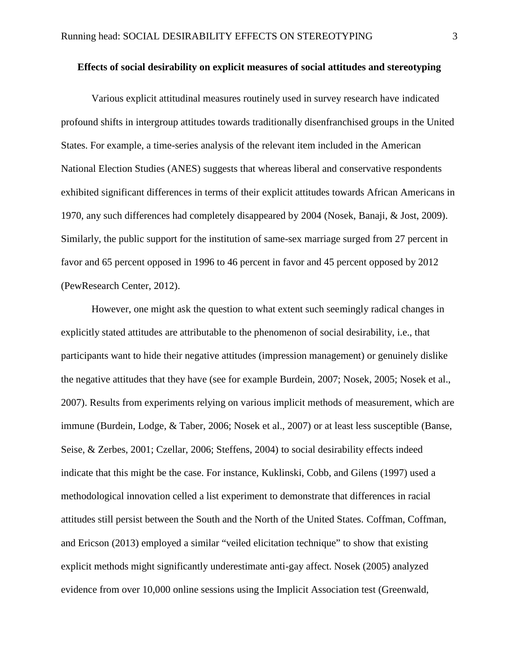# **Effects of social desirability on explicit measures of social attitudes and stereotyping**

Various explicit attitudinal measures routinely used in survey research have indicated profound shifts in intergroup attitudes towards traditionally disenfranchised groups in the United States. For example, a time-series analysis of the relevant item included in the American National Election Studies (ANES) suggests that whereas liberal and conservative respondents exhibited significant differences in terms of their explicit attitudes towards African Americans in 1970, any such differences had completely disappeared by 2004 (Nosek, Banaji, & Jost, 2009). Similarly, the public support for the institution of same-sex marriage surged from 27 percent in favor and 65 percent opposed in 1996 to 46 percent in favor and 45 percent opposed by 2012 (PewResearch Center, 2012).

However, one might ask the question to what extent such seemingly radical changes in explicitly stated attitudes are attributable to the phenomenon of social desirability, i.e., that participants want to hide their negative attitudes (impression management) or genuinely dislike the negative attitudes that they have (see for example Burdein, 2007; Nosek, 2005; Nosek et al., 2007). Results from experiments relying on various implicit methods of measurement, which are immune (Burdein, Lodge, & Taber, 2006; Nosek et al., 2007) or at least less susceptible (Banse, Seise, & Zerbes, 2001; Czellar, 2006; Steffens, 2004) to social desirability effects indeed indicate that this might be the case. For instance, Kuklinski, Cobb, and Gilens (1997) used a methodological innovation celled a list experiment to demonstrate that differences in racial attitudes still persist between the South and the North of the United States. Coffman, Coffman, and Ericson (2013) employed a similar "veiled elicitation technique" to show that existing explicit methods might significantly underestimate anti-gay affect. Nosek (2005) analyzed evidence from over 10,000 online sessions using the Implicit Association test (Greenwald,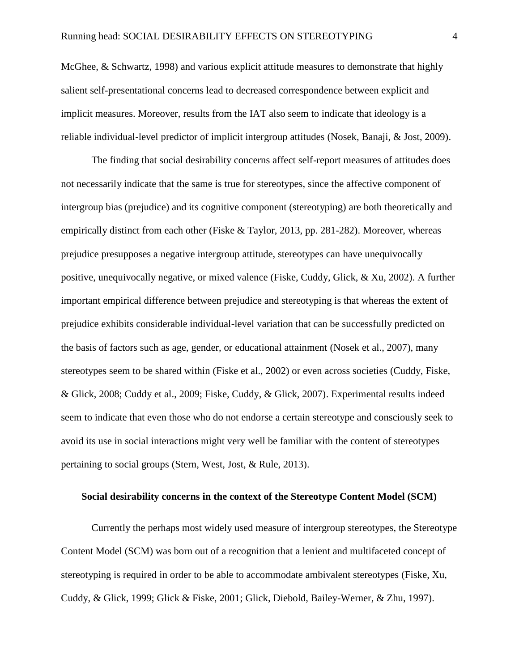McGhee, & Schwartz, 1998) and various explicit attitude measures to demonstrate that highly salient self-presentational concerns lead to decreased correspondence between explicit and implicit measures. Moreover, results from the IAT also seem to indicate that ideology is a reliable individual-level predictor of implicit intergroup attitudes (Nosek, Banaji, & Jost, 2009).

The finding that social desirability concerns affect self-report measures of attitudes does not necessarily indicate that the same is true for stereotypes, since the affective component of intergroup bias (prejudice) and its cognitive component (stereotyping) are both theoretically and empirically distinct from each other (Fiske & Taylor, 2013, pp. 281-282). Moreover, whereas prejudice presupposes a negative intergroup attitude, stereotypes can have unequivocally positive, unequivocally negative, or mixed valence (Fiske, Cuddy, Glick, & Xu, 2002). A further important empirical difference between prejudice and stereotyping is that whereas the extent of prejudice exhibits considerable individual-level variation that can be successfully predicted on the basis of factors such as age, gender, or educational attainment (Nosek et al., 2007), many stereotypes seem to be shared within (Fiske et al., 2002) or even across societies (Cuddy, Fiske, & Glick, 2008; Cuddy et al., 2009; Fiske, Cuddy, & Glick, 2007). Experimental results indeed seem to indicate that even those who do not endorse a certain stereotype and consciously seek to avoid its use in social interactions might very well be familiar with the content of stereotypes pertaining to social groups (Stern, West, Jost, & Rule, 2013).

#### **Social desirability concerns in the context of the Stereotype Content Model (SCM)**

Currently the perhaps most widely used measure of intergroup stereotypes, the Stereotype Content Model (SCM) was born out of a recognition that a lenient and multifaceted concept of stereotyping is required in order to be able to accommodate ambivalent stereotypes (Fiske, Xu, Cuddy, & Glick, 1999; Glick & Fiske, 2001; Glick, Diebold, Bailey-Werner, & Zhu, 1997).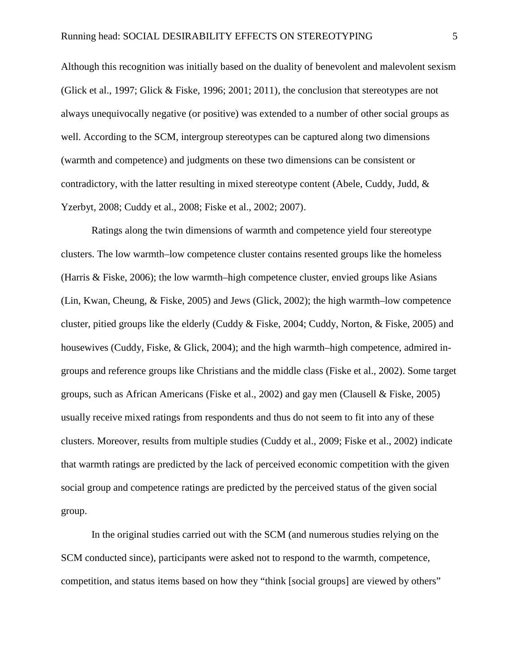Although this recognition was initially based on the duality of benevolent and malevolent sexism (Glick et al., 1997; Glick & Fiske, 1996; 2001; 2011), the conclusion that stereotypes are not always unequivocally negative (or positive) was extended to a number of other social groups as well. According to the SCM, intergroup stereotypes can be captured along two dimensions (warmth and competence) and judgments on these two dimensions can be consistent or contradictory, with the latter resulting in mixed stereotype content (Abele, Cuddy, Judd, & Yzerbyt, 2008; Cuddy et al., 2008; Fiske et al., 2002; 2007).

Ratings along the twin dimensions of warmth and competence yield four stereotype clusters. The low warmth–low competence cluster contains resented groups like the homeless (Harris & Fiske, 2006); the low warmth–high competence cluster, envied groups like Asians (Lin, Kwan, Cheung, & Fiske, 2005) and Jews (Glick, 2002); the high warmth–low competence cluster, pitied groups like the elderly (Cuddy & Fiske, 2004; Cuddy, Norton, & Fiske, 2005) and housewives (Cuddy, Fiske, & Glick, 2004); and the high warmth–high competence, admired ingroups and reference groups like Christians and the middle class (Fiske et al., 2002). Some target groups, such as African Americans (Fiske et al., 2002) and gay men (Clausell & Fiske, 2005) usually receive mixed ratings from respondents and thus do not seem to fit into any of these clusters. Moreover, results from multiple studies (Cuddy et al., 2009; Fiske et al., 2002) indicate that warmth ratings are predicted by the lack of perceived economic competition with the given social group and competence ratings are predicted by the perceived status of the given social group.

In the original studies carried out with the SCM (and numerous studies relying on the SCM conducted since), participants were asked not to respond to the warmth, competence, competition, and status items based on how they "think [social groups] are viewed by others"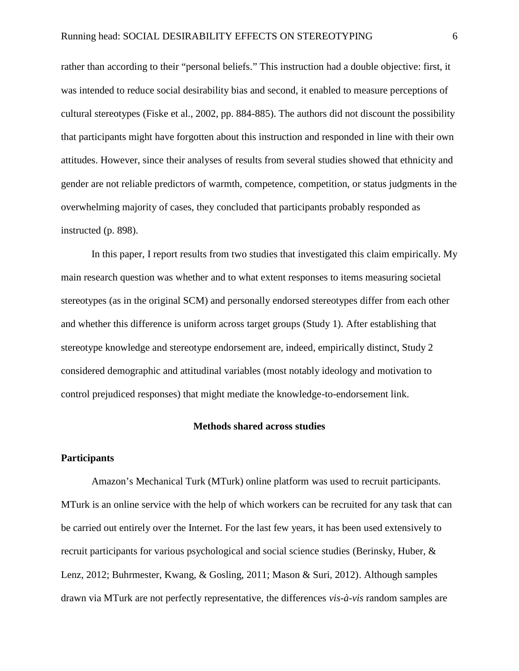rather than according to their "personal beliefs." This instruction had a double objective: first, it was intended to reduce social desirability bias and second, it enabled to measure perceptions of cultural stereotypes (Fiske et al., 2002, pp. 884-885). The authors did not discount the possibility that participants might have forgotten about this instruction and responded in line with their own attitudes. However, since their analyses of results from several studies showed that ethnicity and gender are not reliable predictors of warmth, competence, competition, or status judgments in the overwhelming majority of cases, they concluded that participants probably responded as instructed (p. 898).

In this paper, I report results from two studies that investigated this claim empirically. My main research question was whether and to what extent responses to items measuring societal stereotypes (as in the original SCM) and personally endorsed stereotypes differ from each other and whether this difference is uniform across target groups (Study 1). After establishing that stereotype knowledge and stereotype endorsement are, indeed, empirically distinct, Study 2 considered demographic and attitudinal variables (most notably ideology and motivation to control prejudiced responses) that might mediate the knowledge-to-endorsement link.

### **Methods shared across studies**

#### **Participants**

Amazon's Mechanical Turk (MTurk) online platform was used to recruit participants. MTurk is an online service with the help of which workers can be recruited for any task that can be carried out entirely over the Internet. For the last few years, it has been used extensively to recruit participants for various psychological and social science studies (Berinsky, Huber, & Lenz, 2012; Buhrmester, Kwang, & Gosling, 2011; Mason & Suri, 2012). Although samples drawn via MTurk are not perfectly representative, the differences *vis-à-vis* random samples are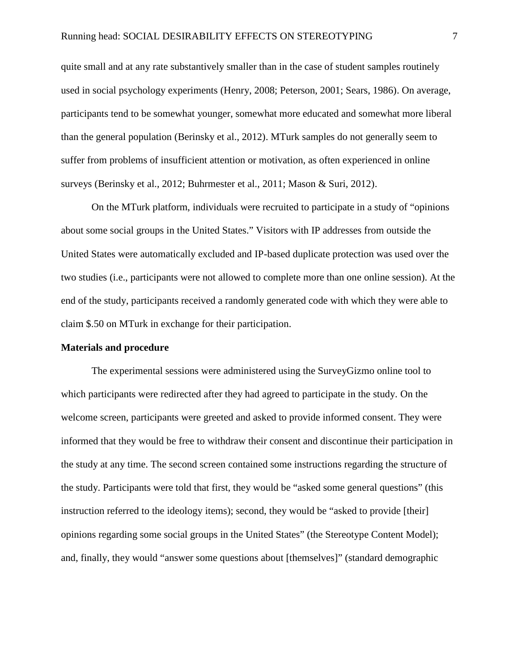quite small and at any rate substantively smaller than in the case of student samples routinely used in social psychology experiments (Henry, 2008; Peterson, 2001; Sears, 1986). On average, participants tend to be somewhat younger, somewhat more educated and somewhat more liberal than the general population (Berinsky et al., 2012). MTurk samples do not generally seem to suffer from problems of insufficient attention or motivation, as often experienced in online surveys (Berinsky et al., 2012; Buhrmester et al., 2011; Mason & Suri, 2012).

On the MTurk platform, individuals were recruited to participate in a study of "opinions about some social groups in the United States." Visitors with IP addresses from outside the United States were automatically excluded and IP-based duplicate protection was used over the two studies (i.e., participants were not allowed to complete more than one online session). At the end of the study, participants received a randomly generated code with which they were able to claim \$.50 on MTurk in exchange for their participation.

#### **Materials and procedure**

The experimental sessions were administered using the SurveyGizmo online tool to which participants were redirected after they had agreed to participate in the study. On the welcome screen, participants were greeted and asked to provide informed consent. They were informed that they would be free to withdraw their consent and discontinue their participation in the study at any time. The second screen contained some instructions regarding the structure of the study. Participants were told that first, they would be "asked some general questions" (this instruction referred to the ideology items); second, they would be "asked to provide [their] opinions regarding some social groups in the United States" (the Stereotype Content Model); and, finally, they would "answer some questions about [themselves]" (standard demographic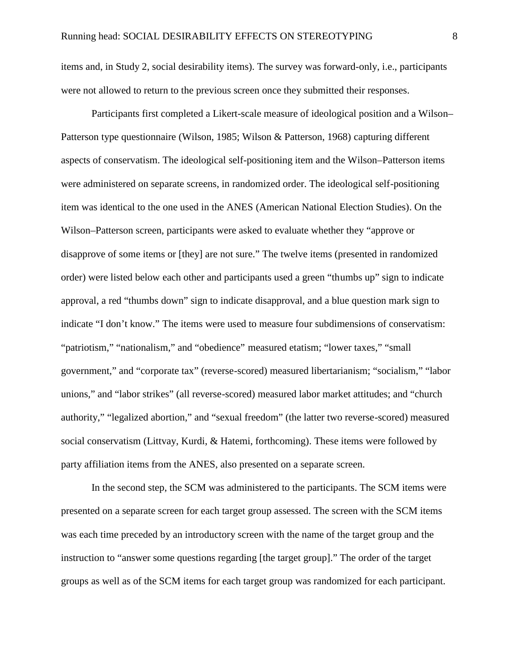items and, in Study 2, social desirability items). The survey was forward-only, i.e., participants were not allowed to return to the previous screen once they submitted their responses.

Participants first completed a Likert-scale measure of ideological position and a Wilson– Patterson type questionnaire (Wilson, 1985; Wilson & Patterson, 1968) capturing different aspects of conservatism. The ideological self-positioning item and the Wilson–Patterson items were administered on separate screens, in randomized order. The ideological self-positioning item was identical to the one used in the ANES (American National Election Studies). On the Wilson–Patterson screen, participants were asked to evaluate whether they "approve or disapprove of some items or [they] are not sure." The twelve items (presented in randomized order) were listed below each other and participants used a green "thumbs up" sign to indicate approval, a red "thumbs down" sign to indicate disapproval, and a blue question mark sign to indicate "I don't know." The items were used to measure four subdimensions of conservatism: "patriotism," "nationalism," and "obedience" measured etatism; "lower taxes," "small government," and "corporate tax" (reverse-scored) measured libertarianism; "socialism," "labor unions," and "labor strikes" (all reverse-scored) measured labor market attitudes; and "church authority," "legalized abortion," and "sexual freedom" (the latter two reverse-scored) measured social conservatism (Littvay, Kurdi, & Hatemi, forthcoming). These items were followed by party affiliation items from the ANES, also presented on a separate screen.

In the second step, the SCM was administered to the participants. The SCM items were presented on a separate screen for each target group assessed. The screen with the SCM items was each time preceded by an introductory screen with the name of the target group and the instruction to "answer some questions regarding [the target group]." The order of the target groups as well as of the SCM items for each target group was randomized for each participant.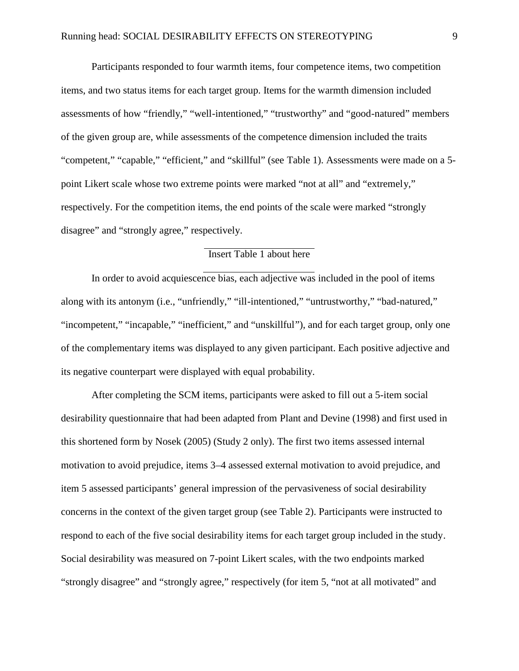Participants responded to four warmth items, four competence items, two competition items, and two status items for each target group. Items for the warmth dimension included assessments of how "friendly," "well-intentioned," "trustworthy" and "good-natured" members of the given group are, while assessments of the competence dimension included the traits "competent," "capable," "efficient," and "skillful" (see Table 1). Assessments were made on a 5 point Likert scale whose two extreme points were marked "not at all" and "extremely," respectively. For the competition items, the end points of the scale were marked "strongly disagree" and "strongly agree," respectively.

# Insert Table 1 about here

In order to avoid acquiescence bias, each adjective was included in the pool of items along with its antonym (i.e., "unfriendly," "ill-intentioned," "untrustworthy," "bad-natured," "incompetent," "incapable," "inefficient," and "unskillful"), and for each target group, only one of the complementary items was displayed to any given participant. Each positive adjective and its negative counterpart were displayed with equal probability.

After completing the SCM items, participants were asked to fill out a 5-item social desirability questionnaire that had been adapted from Plant and Devine (1998) and first used in this shortened form by Nosek (2005) (Study 2 only). The first two items assessed internal motivation to avoid prejudice, items 3–4 assessed external motivation to avoid prejudice, and item 5 assessed participants' general impression of the pervasiveness of social desirability concerns in the context of the given target group (see Table 2). Participants were instructed to respond to each of the five social desirability items for each target group included in the study. Social desirability was measured on 7-point Likert scales, with the two endpoints marked "strongly disagree" and "strongly agree," respectively (for item 5, "not at all motivated" and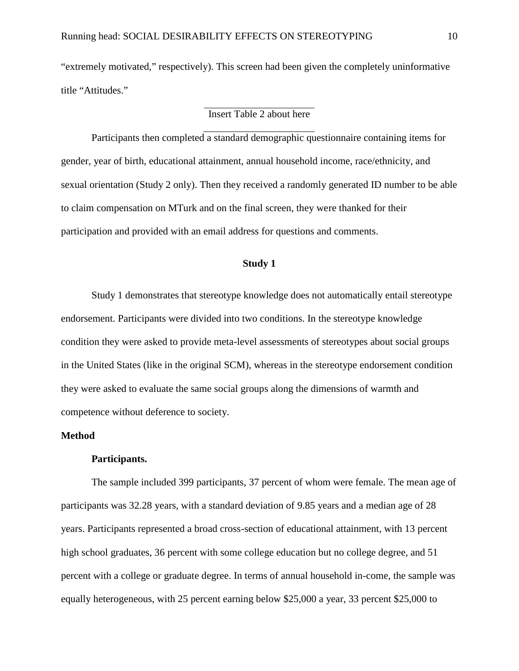"extremely motivated," respectively). This screen had been given the completely uninformative title "Attitudes."

# Insert Table 2 about here

Participants then completed a standard demographic questionnaire containing items for gender, year of birth, educational attainment, annual household income, race/ethnicity, and sexual orientation (Study 2 only). Then they received a randomly generated ID number to be able to claim compensation on MTurk and on the final screen, they were thanked for their participation and provided with an email address for questions and comments.

### **Study 1**

Study 1 demonstrates that stereotype knowledge does not automatically entail stereotype endorsement. Participants were divided into two conditions. In the stereotype knowledge condition they were asked to provide meta-level assessments of stereotypes about social groups in the United States (like in the original SCM), whereas in the stereotype endorsement condition they were asked to evaluate the same social groups along the dimensions of warmth and competence without deference to society.

#### **Method**

#### **Participants.**

The sample included 399 participants, 37 percent of whom were female. The mean age of participants was 32.28 years, with a standard deviation of 9.85 years and a median age of 28 years. Participants represented a broad cross-section of educational attainment, with 13 percent high school graduates, 36 percent with some college education but no college degree, and 51 percent with a college or graduate degree. In terms of annual household in-come, the sample was equally heterogeneous, with 25 percent earning below \$25,000 a year, 33 percent \$25,000 to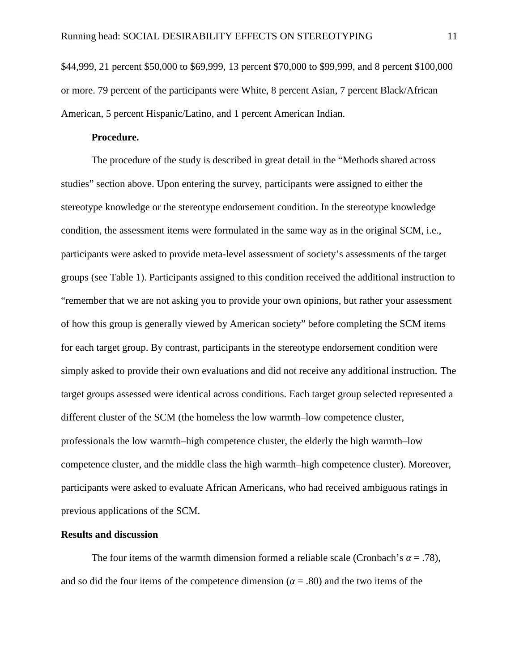\$44,999, 21 percent \$50,000 to \$69,999, 13 percent \$70,000 to \$99,999, and 8 percent \$100,000 or more. 79 percent of the participants were White, 8 percent Asian, 7 percent Black/African American, 5 percent Hispanic/Latino, and 1 percent American Indian.

# **Procedure.**

The procedure of the study is described in great detail in the "Methods shared across studies" section above. Upon entering the survey, participants were assigned to either the stereotype knowledge or the stereotype endorsement condition. In the stereotype knowledge condition, the assessment items were formulated in the same way as in the original SCM, i.e., participants were asked to provide meta-level assessment of society's assessments of the target groups (see Table 1). Participants assigned to this condition received the additional instruction to "remember that we are not asking you to provide your own opinions, but rather your assessment of how this group is generally viewed by American society" before completing the SCM items for each target group. By contrast, participants in the stereotype endorsement condition were simply asked to provide their own evaluations and did not receive any additional instruction. The target groups assessed were identical across conditions. Each target group selected represented a different cluster of the SCM (the homeless the low warmth–low competence cluster, professionals the low warmth–high competence cluster, the elderly the high warmth–low competence cluster, and the middle class the high warmth–high competence cluster). Moreover, participants were asked to evaluate African Americans, who had received ambiguous ratings in previous applications of the SCM.

#### **Results and discussion**

The four items of the warmth dimension formed a reliable scale (Cronbach's  $= .78$ ), and so did the four items of the competence dimension  $( = .80)$  and the two items of the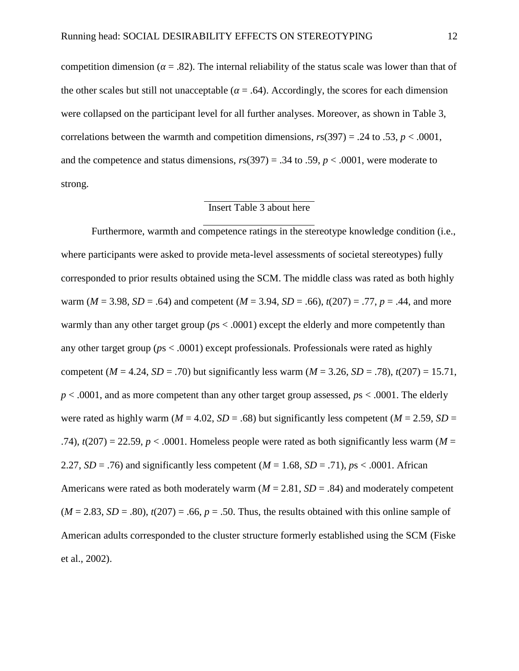competition dimension  $( = .82)$ . The internal reliability of the status scale was lower than that of the other scales but still not unacceptable  $( = .64)$ . Accordingly, the scores for each dimension were collapsed on the participant level for all further analyses. Moreover, as shown in Table 3, correlations between the warmth and competition dimensions,  $r_s(397) = .24$  to  $.53$ ,  $p < .0001$ , and the competence and status dimensions,  $r s(397) = .34$  to .59,  $p < .0001$ , were moderate to strong.

### Insert Table 3 about here

Furthermore, warmth and competence ratings in the stereotype knowledge condition (i.e., where participants were asked to provide meta-level assessments of societal stereotypes) fully corresponded to prior results obtained using the SCM. The middle class was rated as both highly warm ( $M = 3.98$ ,  $SD = .64$ ) and competent ( $M = 3.94$ ,  $SD = .66$ ),  $t(207) = .77$ ,  $p = .44$ , and more warmly than any other target group ( $ps < .0001$ ) except the elderly and more competently than any other target group (*p*s < .0001) except professionals. Professionals were rated as highly competent ( $M = 4.24$ ,  $SD = .70$ ) but significantly less warm ( $M = 3.26$ ,  $SD = .78$ ),  $t(207) = 15.71$ , *p* < .0001, and as more competent than any other target group assessed, *p*s < .0001. The elderly were rated as highly warm ( $M = 4.02$ ,  $SD = .68$ ) but significantly less competent ( $M = 2.59$ ,  $SD =$ .74),  $t(207) = 22.59$ ,  $p < .0001$ . Homeless people were rated as both significantly less warm (*M* = 2.27,  $SD = .76$ ) and significantly less competent  $(M = 1.68, SD = .71)$ ,  $ps < .0001$ . African Americans were rated as both moderately warm  $(M = 2.81, SD = .84)$  and moderately competent  $(M = 2.83, SD = .80)$ ,  $t(207) = .66$ ,  $p = .50$ . Thus, the results obtained with this online sample of American adults corresponded to the cluster structure formerly established using the SCM (Fiske et al., 2002).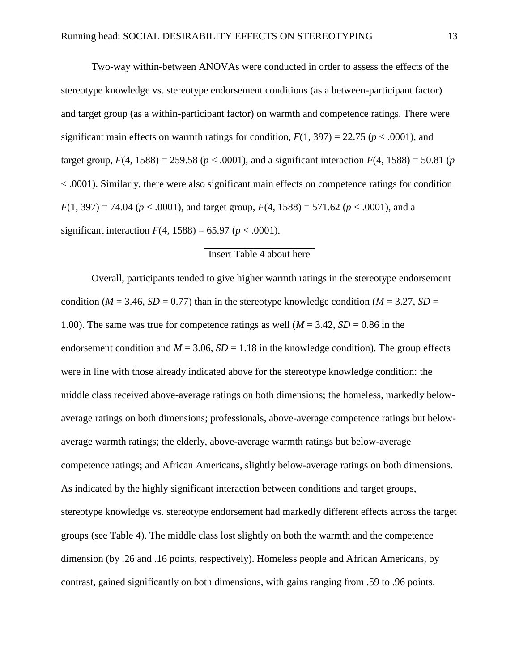Two-way within-between ANOVAs were conducted in order to assess the effects of the stereotype knowledge vs. stereotype endorsement conditions (as a between-participant factor) and target group (as a within-participant factor) on warmth and competence ratings. There were significant main effects on warmth ratings for condition,  $F(1, 397) = 22.75$  ( $p < .0001$ ), and target group,  $F(4, 1588) = 259.58$  ( $p < .0001$ ), and a significant interaction  $F(4, 1588) = 50.81$  (*p* < .0001). Similarly, there were also significant main effects on competence ratings for condition  $F(1, 397) = 74.04$  ( $p < .0001$ ), and target group,  $F(4, 1588) = 571.62$  ( $p < .0001$ ), and a significant interaction  $F(4, 1588) = 65.97$  ( $p < .0001$ ).

### Insert Table 4 about here

Overall, participants tended to give higher warmth ratings in the stereotype endorsement condition ( $M = 3.46$ ,  $SD = 0.77$ ) than in the stereotype knowledge condition ( $M = 3.27$ ,  $SD =$ 1.00). The same was true for competence ratings as well  $(M = 3.42, SD = 0.86$  in the endorsement condition and  $M = 3.06$ ,  $SD = 1.18$  in the knowledge condition). The group effects were in line with those already indicated above for the stereotype knowledge condition: the middle class received above-average ratings on both dimensions; the homeless, markedly below average ratings on both dimensions; professionals, above-average competence ratings but below average warmth ratings; the elderly, above-average warmth ratings but below-average competence ratings; and African Americans, slightly below-average ratings on both dimensions. As indicated by the highly significant interaction between conditions and target groups, stereotype knowledge vs. stereotype endorsement had markedly different effects across the target groups (see Table 4). The middle class lost slightly on both the warmth and the competence dimension (by .26 and .16 points, respectively). Homeless people and African Americans, by contrast, gained significantly on both dimensions, with gains ranging from .59 to .96 points.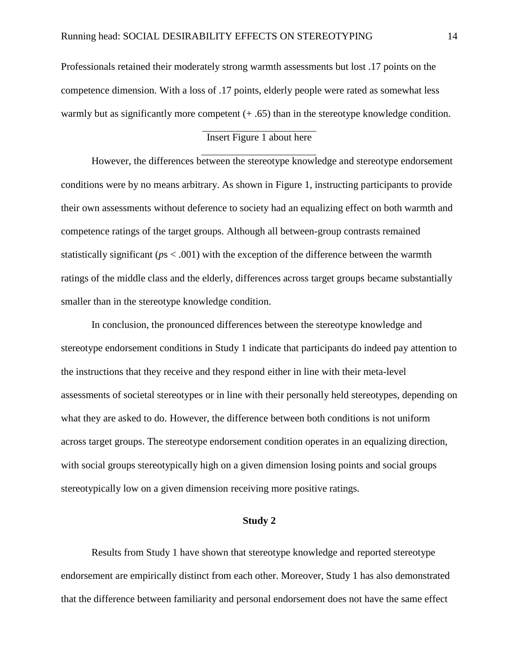Professionals retained their moderately strong warmth assessments but lost .17 points on the competence dimension. With a loss of .17 points, elderly people were rated as somewhat less warmly but as significantly more competent  $(+.65)$  than in the stereotype knowledge condition.

# Insert Figure 1 about here

However, the differences between the stereotype knowledge and stereotype endorsement conditions were by no means arbitrary. As shown in Figure 1, instructing participants to provide their own assessments without deference to society had an equalizing effect on both warmth and competence ratings of the target groups. Although all between-group contrasts remained statistically significant (*p*s < .001) with the exception of the difference between the warmth ratings of the middle class and the elderly, differences across target groups became substantially smaller than in the stereotype knowledge condition.

In conclusion, the pronounced differences between the stereotype knowledge and stereotype endorsement conditions in Study 1 indicate that participants do indeed pay attention to the instructions that they receive and they respond either in line with their meta-level assessments of societal stereotypes or in line with their personally held stereotypes, depending on what they are asked to do. However, the difference between both conditions is not uniform across target groups. The stereotype endorsement condition operates in an equalizing direction, with social groups stereotypically high on a given dimension losing points and social groups stereotypically low on a given dimension receiving more positive ratings.

### **Study 2**

Results from Study 1 have shown that stereotype knowledge and reported stereotype endorsement are empirically distinct from each other. Moreover, Study 1 has also demonstrated that the difference between familiarity and personal endorsement does not have the same effect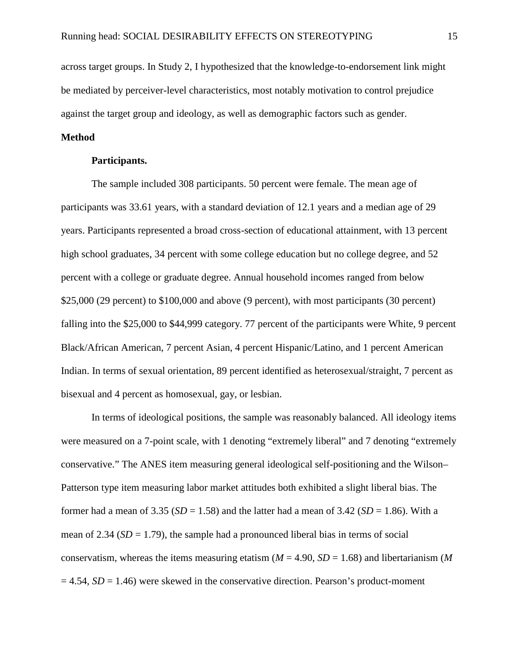across target groups. In Study 2, I hypothesized that the knowledge-to-endorsement link might be mediated by perceiver-level characteristics, most notably motivation to control prejudice against the target group and ideology, as well as demographic factors such as gender.

# **Method**

#### **Participants.**

The sample included 308 participants. 50 percent were female. The mean age of participants was 33.61 years, with a standard deviation of 12.1 years and a median age of 29 years. Participants represented a broad cross-section of educational attainment, with 13 percent high school graduates, 34 percent with some college education but no college degree, and 52 percent with a college or graduate degree. Annual household incomes ranged from below \$25,000 (29 percent) to \$100,000 and above (9 percent), with most participants (30 percent) falling into the \$25,000 to \$44,999 category. 77 percent of the participants were White, 9 percent Black/African American, 7 percent Asian, 4 percent Hispanic/Latino, and 1 percent American Indian. In terms of sexual orientation, 89 percent identified as heterosexual/straight, 7 percent as bisexual and 4 percent as homosexual, gay, or lesbian.

In terms of ideological positions, the sample was reasonably balanced. All ideology items were measured on a 7-point scale, with 1 denoting "extremely liberal" and 7 denoting "extremely conservative." The ANES item measuring general ideological self-positioning and the Wilson– Patterson type item measuring labor market attitudes both exhibited a slight liberal bias. The former had a mean of 3.35 ( $SD = 1.58$ ) and the latter had a mean of 3.42 ( $SD = 1.86$ ). With a mean of 2.34  $(SD = 1.79)$ , the sample had a pronounced liberal bias in terms of social conservatism, whereas the items measuring etatism ( $M = 4.90$ ,  $SD = 1.68$ ) and libertarianism (M)  $= 4.54$ ,  $SD = 1.46$ ) were skewed in the conservative direction. Pearson's product-moment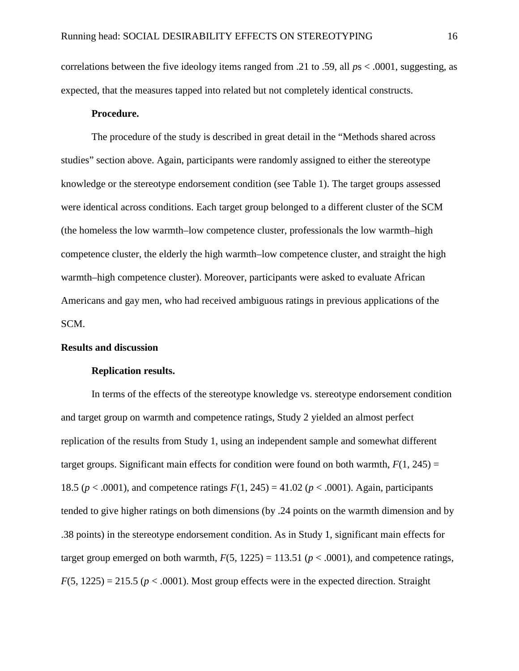correlations between the five ideology items ranged from .21 to .59, all *p*s < .0001, suggesting, as expected, that the measures tapped into related but not completely identical constructs.

#### **Procedure.**

The procedure of the study is described in great detail in the "Methods shared across studies" section above. Again, participants were randomly assigned to either the stereotype knowledge or the stereotype endorsement condition (see Table 1). The target groups assessed were identical across conditions. Each target group belonged to a different cluster of the SCM (the homeless the low warmth–low competence cluster, professionals the low warmth–high competence cluster, the elderly the high warmth–low competence cluster, and straight the high warmth–high competence cluster). Moreover, participants were asked to evaluate African Americans and gay men, who had received ambiguous ratings in previous applications of the SCM.

#### **Results and discussion**

#### **Replication results.**

In terms of the effects of the stereotype knowledge vs. stereotype endorsement condition and target group on warmth and competence ratings, Study 2 yielded an almost perfect replication of the results from Study 1, using an independent sample and somewhat different target groups. Significant main effects for condition were found on both warmth,  $F(1, 245) =$ 18.5 ( $p < .0001$ ), and competence ratings  $F(1, 245) = 41.02$  ( $p < .0001$ ). Again, participants tended to give higher ratings on both dimensions (by .24 points on the warmth dimension and by .38 points) in the stereotype endorsement condition. As in Study 1, significant main effects for target group emerged on both warmth,  $F(5, 1225) = 113.51$  ( $p < .0001$ ), and competence ratings,  $F(5, 1225) = 215.5$  ( $p < .0001$ ). Most group effects were in the expected direction. Straight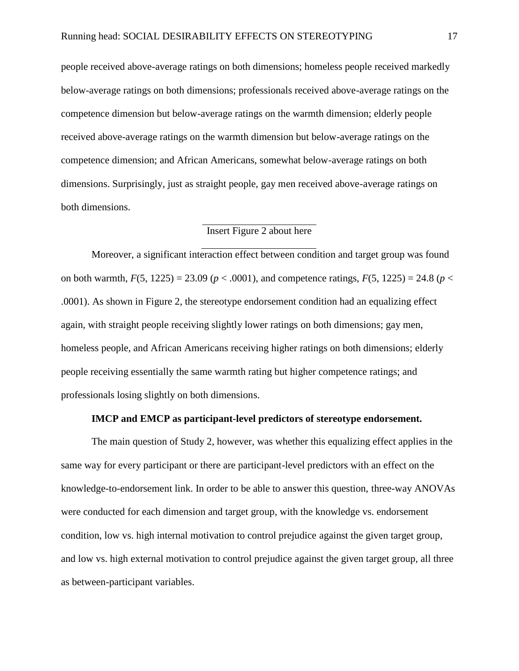people received above-average ratings on both dimensions; homeless people received markedly below-average ratings on both dimensions; professionals received above-average ratings on the competence dimension but below-average ratings on the warmth dimension; elderly people received above-average ratings on the warmth dimension but below-average ratings on the competence dimension; and African Americans, somewhat below-average ratings on both dimensions. Surprisingly, just as straight people, gay men received above-average ratings on both dimensions.

# Insert Figure 2 about here

Moreover, a significant interaction effect between condition and target group was found on both warmth,  $F(5, 1225) = 23.09$  ( $p < .0001$ ), and competence ratings,  $F(5, 1225) = 24.8$  ( $p <$ .0001). As shown in Figure 2, the stereotype endorsement condition had an equalizing effect again, with straight people receiving slightly lower ratings on both dimensions; gay men, homeless people, and African Americans receiving higher ratings on both dimensions; elderly people receiving essentially the same warmth rating but higher competence ratings; and professionals losing slightly on both dimensions.

#### **IMCP and EMCP as participant-level predictors of stereotype endorsement.**

The main question of Study 2, however, was whether this equalizing effect applies in the same way for every participant or there are participant-level predictors with an effect on the knowledge-to-endorsement link. In order to be able to answer this question, three-way ANOVAs were conducted for each dimension and target group, with the knowledge vs. endorsement condition, low vs. high internal motivation to control prejudice against the given target group, and low vs. high external motivation to control prejudice against the given target group, all three as between-participant variables.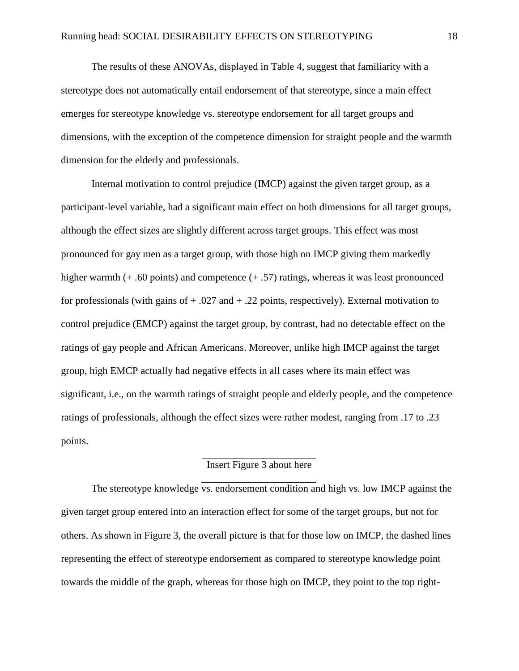The results of these ANOVAs, displayed in Table 4, suggest that familiarity with a stereotype does not automatically entail endorsement of that stereotype, since a main effect emerges for stereotype knowledge vs. stereotype endorsement for all target groups and dimensions, with the exception of the competence dimension for straight people and the warmth dimension for the elderly and professionals.

Internal motivation to control prejudice (IMCP) against the given target group, as a participant-level variable, had a significant main effect on both dimensions for all target groups, although the effect sizes are slightly different across target groups. This effect was most pronounced for gay men as a target group, with those high on IMCP giving them markedly higher warmth (+ .60 points) and competence (+ .57) ratings, whereas it was least pronounced for professionals (with gains of  $+ .027$  and  $+ .22$  points, respectively). External motivation to control prejudice (EMCP) against the target group, by contrast, had no detectable effect on the ratings of gay people and African Americans. Moreover, unlike high IMCP against the target group, high EMCP actually had negative effects in all cases where its main effect was significant, i.e., on the warmth ratings of straight people and elderly people, and the competence ratings of professionals, although the effect sizes were rather modest, ranging from .17 to .23 points.

# Insert Figure 3 about here

The stereotype knowledge vs. endorsement condition and high vs. low IMCP against the given target group entered into an interaction effect for some of the target groups, but not for others. As shown in Figure 3, the overall picture is that for those low on IMCP, the dashed lines representing the effect of stereotype endorsement as compared to stereotype knowledge point towards the middle of the graph, whereas for those high on IMCP, they point to the top right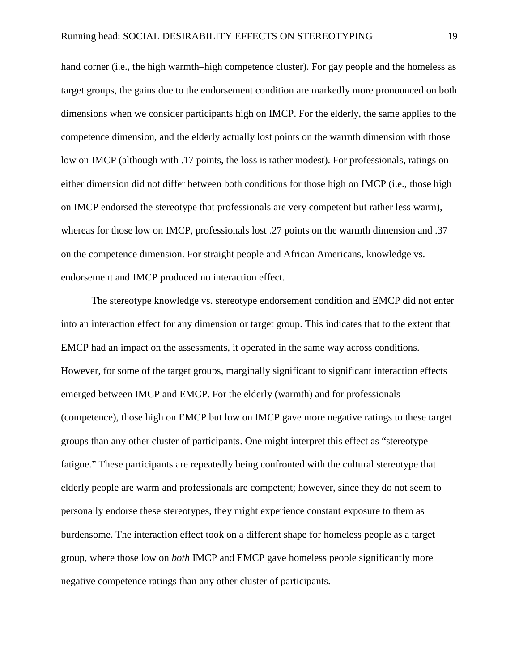hand corner (i.e., the high warmth–high competence cluster). For gay people and the homeless as target groups, the gains due to the endorsement condition are markedly more pronounced on both dimensions when we consider participants high on IMCP. For the elderly, the same applies to the competence dimension, and the elderly actually lost points on the warmth dimension with those low on IMCP (although with .17 points, the loss is rather modest). For professionals, ratings on either dimension did not differ between both conditions for those high on IMCP (i.e., those high on IMCP endorsed the stereotype that professionals are very competent but rather less warm), whereas for those low on IMCP, professionals lost .27 points on the warmth dimension and .37 on the competence dimension. For straight people and African Americans, knowledge vs. endorsement and IMCP produced no interaction effect.

The stereotype knowledge vs. stereotype endorsement condition and EMCP did not enter into an interaction effect for any dimension or target group. This indicates that to the extent that EMCP had an impact on the assessments, it operated in the same way across conditions. However, for some of the target groups, marginally significant to significant interaction effects emerged between IMCP and EMCP. For the elderly (warmth) and for professionals (competence), those high on EMCP but low on IMCP gave more negative ratings to these target groups than any other cluster of participants. One might interpret this effect as "stereotype fatigue." These participants are repeatedly being confronted with the cultural stereotype that elderly people are warm and professionals are competent; however, since they do not seem to personally endorse these stereotypes, they might experience constant exposure to them as burdensome. The interaction effect took on a different shape for homeless people as a target group, where those low on *both* IMCP and EMCP gave homeless people significantly more negative competence ratings than any other cluster of participants.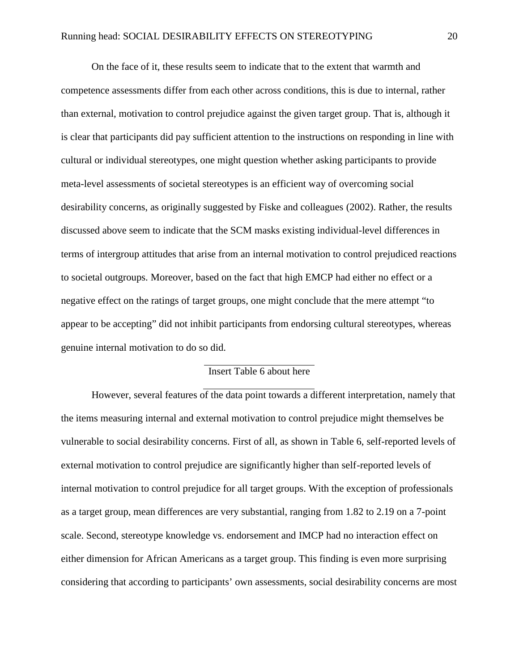On the face of it, these results seem to indicate that to the extent that warmth and competence assessments differ from each other across conditions, this is due to internal, rather than external, motivation to control prejudice against the given target group. That is, although it is clear that participants did pay sufficient attention to the instructions on responding in line with cultural or individual stereotypes, one might question whether asking participants to provide meta-level assessments of societal stereotypes is an efficient way of overcoming social desirability concerns, as originally suggested by Fiske and colleagues (2002). Rather, the results discussed above seem to indicate that the SCM masks existing individual-level differences in terms of intergroup attitudes that arise from an internal motivation to control prejudiced reactions to societal outgroups. Moreover, based on the fact that high EMCP had either no effect or a negative effect on the ratings of target groups, one might conclude that the mere attempt "to appear to be accepting" did not inhibit participants from endorsing cultural stereotypes, whereas genuine internal motivation to do so did.

# Insert Table 6 about here

However, several features of the data point towards a different interpretation, namely that the items measuring internal and external motivation to control prejudice might themselves be vulnerable to social desirability concerns. First of all, as shown in Table 6, self-reported levels of external motivation to control prejudice are significantly higher than self-reported levels of internal motivation to control prejudice for all target groups. With the exception of professionals as a target group, mean differences are very substantial, ranging from 1.82 to 2.19 on a 7-point scale. Second, stereotype knowledge vs. endorsement and IMCP had no interaction effect on either dimension for African Americans as a target group. This finding is even more surprising considering that according to participants' own assessments, social desirability concerns are most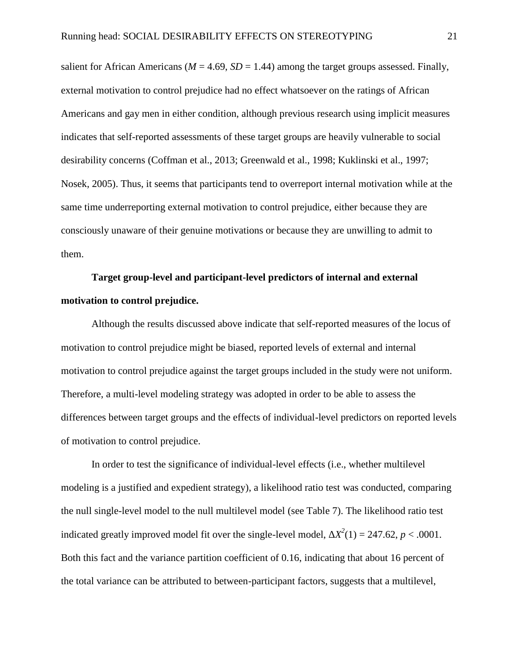salient for African Americans ( $M = 4.69$ ,  $SD = 1.44$ ) among the target groups assessed. Finally, external motivation to control prejudice had no effect whatsoever on the ratings of African Americans and gay men in either condition, although previous research using implicit measures indicates that self-reported assessments of these target groups are heavily vulnerable to social desirability concerns (Coffman et al., 2013; Greenwald et al., 1998; Kuklinski et al., 1997; Nosek, 2005). Thus, it seems that participants tend to overreport internal motivation while at the same time underreporting external motivation to control prejudice, either because they are consciously unaware of their genuine motivations or because they are unwilling to admit to them.

# **Target group-level and participant-level predictors of internal and external motivation to control prejudice.**

Although the results discussed above indicate that self-reported measures of the locus of motivation to control prejudice might be biased, reported levels of external and internal motivation to control prejudice against the target groups included in the study were not uniform. Therefore, a multi-level modeling strategy was adopted in order to be able to assess the differences between target groups and the effects of individual-level predictors on reported levels of motivation to control prejudice.

In order to test the significance of individual-level effects (i.e., whether multilevel modeling is a justified and expedient strategy), a likelihood ratio test was conducted, comparing the null single-level model to the null multilevel model (see Table 7). The likelihood ratio test indicated greatly improved model fit over the single-level model,  $^{2}(1) = 247.62, p < .0001.$ Both this fact and the variance partition coefficient of 0.16, indicating that about 16 percent of the total variance can be attributed to between-participant factors, suggests that a multilevel,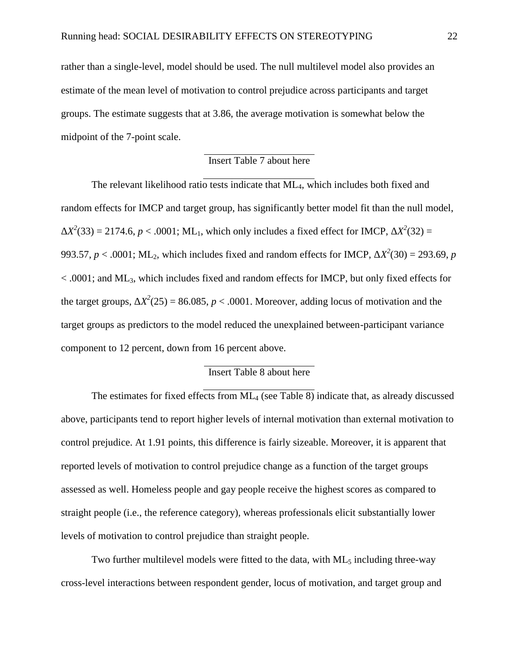rather than a single-level, model should be used. The null multilevel model also provides an estimate of the mean level of motivation to control prejudice across participants and target groups. The estimate suggests that at 3.86, the average motivation is somewhat below the midpoint of the 7-point scale.

# Insert Table 7 about here

The relevant likelihood ratio tests indicate that ML<sub>4</sub>, which includes both fixed and random effects for IMCP and target group, has significantly better model fit than the null model,

 $2^2(33) = 2174.6, p < .0001$ ; ML<sub>1</sub>, which only includes a fixed effect for IMCP,  $2^2(32) =$  $^{2}(32) =$ 993.57,  $p < .0001$ ; ML<sub>2</sub>, which includes fixed and random effects for IMCP,  $^{2}(30) = 293.69$ , *p*  $< .0001$ ; and ML<sub>3</sub>, which includes fixed and random effects for IMCP, but only fixed effects for the target groups,  $^{2}(25) = 86.085$ ,  $p < .0001$ . Moreover, adding locus of motivation and the target groups as predictors to the model reduced the unexplained between-participant variance component to 12 percent, down from 16 percent above.

# Insert Table 8 about here

The estimates for fixed effects from ML<sup>4</sup> (see Table 8) indicate that, as already discussed above, participants tend to report higher levels of internal motivation than external motivation to control prejudice. At 1.91 points, this difference is fairly sizeable. Moreover, it is apparent that reported levels of motivation to control prejudice change as a function of the target groups assessed as well. Homeless people and gay people receive the highest scores as compared to straight people (i.e., the reference category), whereas professionals elicit substantially lower levels of motivation to control prejudice than straight people.

Two further multilevel models were fitted to the data, with  $ML_5$  including three-way cross-level interactions between respondent gender, locus of motivation, and target group and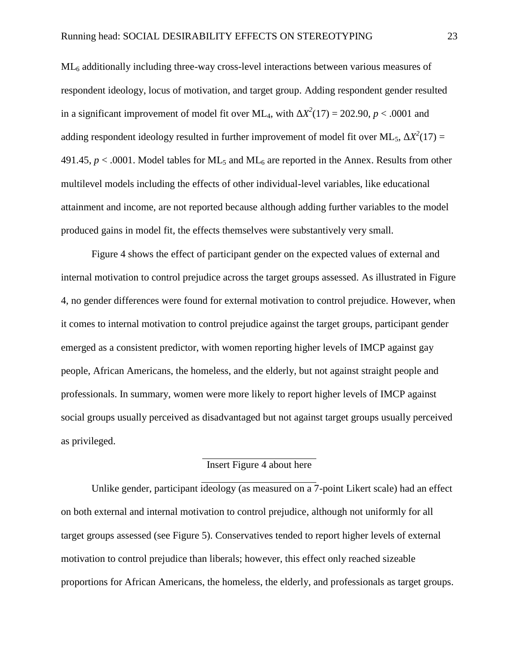ML<sub>6</sub> additionally including three-way cross-level interactions between various measures of respondent ideology, locus of motivation, and target group. Adding respondent gender resulted in a significant improvement of model fit over ML<sub>4</sub>, with  $^{2}(17) = 202.90, p < .0001$  and adding respondent ideology resulted in further improvement of model fit over ML5, *<sup>2</sup>*  $^{2}(17) =$ 491.45,  $p < .0001$ . Model tables for ML<sub>5</sub> and ML<sub>6</sub> are reported in the Annex. Results from other multilevel models including the effects of other individual-level variables, like educational attainment and income, are not reported because although adding further variables to the model produced gains in model fit, the effects themselves were substantively very small.

Figure 4 shows the effect of participant gender on the expected values of external and internal motivation to control prejudice across the target groups assessed. As illustrated in Figure 4, no gender differences were found for external motivation to control prejudice. However, when it comes to internal motivation to control prejudice against the target groups, participant gender emerged as a consistent predictor, with women reporting higher levels of IMCP against gay people, African Americans, the homeless, and the elderly, but not against straight people and professionals. In summary, women were more likely to report higher levels of IMCP against social groups usually perceived as disadvantaged but not against target groups usually perceived as privileged.

# Insert Figure 4 about here

Unlike gender, participant ideology (as measured on a 7-point Likert scale) had an effect on both external and internal motivation to control prejudice, although not uniformly for all target groups assessed (see Figure 5). Conservatives tended to report higher levels of external motivation to control prejudice than liberals; however, this effect only reached sizeable proportions for African Americans, the homeless, the elderly, and professionals as target groups.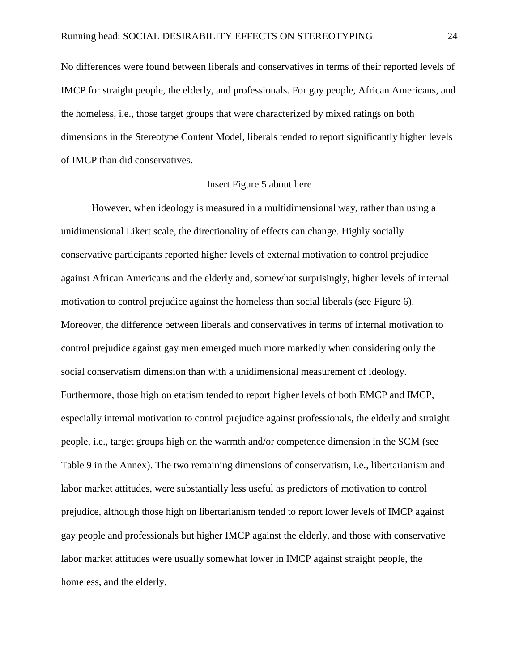No differences were found between liberals and conservatives in terms of their reported levels of IMCP for straight people, the elderly, and professionals. For gay people, African Americans, and the homeless, i.e., those target groups that were characterized by mixed ratings on both dimensions in the Stereotype Content Model, liberals tended to report significantly higher levels of IMCP than did conservatives.

# Insert Figure 5 about here

However, when ideology is measured in a multidimensional way, rather than using a unidimensional Likert scale, the directionality of effects can change. Highly socially conservative participants reported higher levels of external motivation to control prejudice against African Americans and the elderly and, somewhat surprisingly, higher levels of internal motivation to control prejudice against the homeless than social liberals (see Figure 6). Moreover, the difference between liberals and conservatives in terms of internal motivation to control prejudice against gay men emerged much more markedly when considering only the social conservatism dimension than with a unidimensional measurement of ideology. Furthermore, those high on etatism tended to report higher levels of both EMCP and IMCP, especially internal motivation to control prejudice against professionals, the elderly and straight people, i.e., target groups high on the warmth and/or competence dimension in the SCM (see Table 9 in the Annex). The two remaining dimensions of conservatism, i.e., libertarianism and labor market attitudes, were substantially less useful as predictors of motivation to control prejudice, although those high on libertarianism tended to report lower levels of IMCP against gay people and professionals but higher IMCP against the elderly, and those with conservative labor market attitudes were usually somewhat lower in IMCP against straight people, the homeless, and the elderly.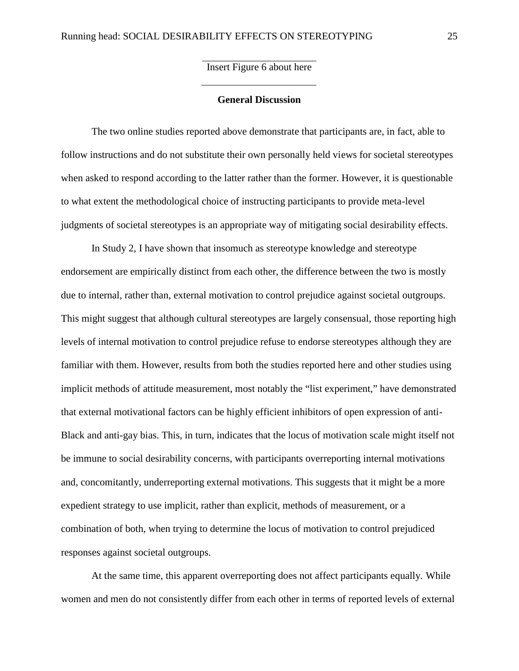Insert Figure 6 about here

## **General Discussion**

The two online studies reported above demonstrate that participants are, in fact, able to follow instructions and do not substitute their own personally held views for societal stereotypes when asked to respond according to the latter rather than the former. However, it is questionable to what extent the methodological choice of instructing participants to provide meta-level judgments of societal stereotypes is an appropriate way of mitigating social desirability effects.

In Study 2, I have shown that insomuch as stereotype knowledge and stereotype endorsement are empirically distinct from each other, the difference between the two is mostly due to internal, rather than, external motivation to control prejudice against societal outgroups. This might suggest that although cultural stereotypes are largely consensual, those reporting high levels of internal motivation to control prejudice refuse to endorse stereotypes although they are familiar with them. However, results from both the studies reported here and other studies using implicit methods of attitude measurement, most notably the "list experiment," have demonstrated that external motivational factors can be highly efficient inhibitors of open expression of anti- Black and anti-gay bias. This, in turn, indicates that the locus of motivation scale might itself not be immune to social desirability concerns, with participants overreporting internal motivations and, concomitantly, underreporting external motivations. This suggests that it might be a more expedient strategy to use implicit, rather than explicit, methods of measurement, or a combination of both, when trying to determine the locus of motivation to control prejudiced responses against societal outgroups.

At the same time, this apparent overreporting does not affect participants equally. While women and men do not consistently differ from each other in terms of reported levels of external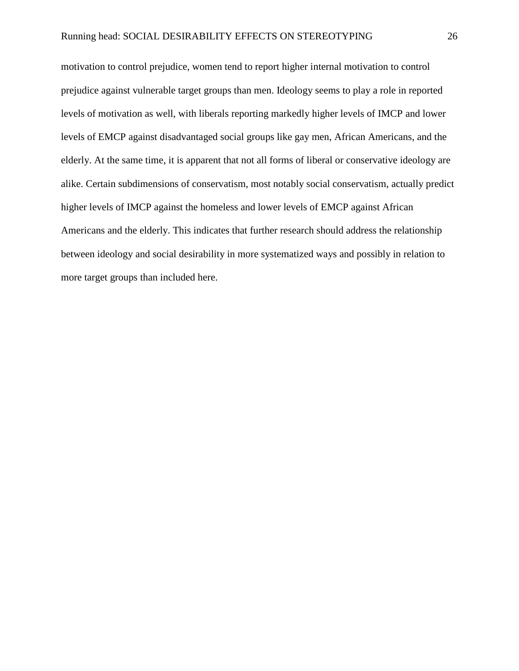motivation to control prejudice, women tend to report higher internal motivation to control prejudice against vulnerable target groups than men. Ideology seems to play a role in reported levels of motivation as well, with liberals reporting markedly higher levels of IMCP and lower levels of EMCP against disadvantaged social groups like gay men, African Americans, and the elderly. At the same time, it is apparent that not all forms of liberal or conservative ideology are alike. Certain subdimensions of conservatism, most notably social conservatism, actually predict higher levels of IMCP against the homeless and lower levels of EMCP against African Americans and the elderly. This indicates that further research should address the relationship between ideology and social desirability in more systematized ways and possibly in relation to more target groups than included here.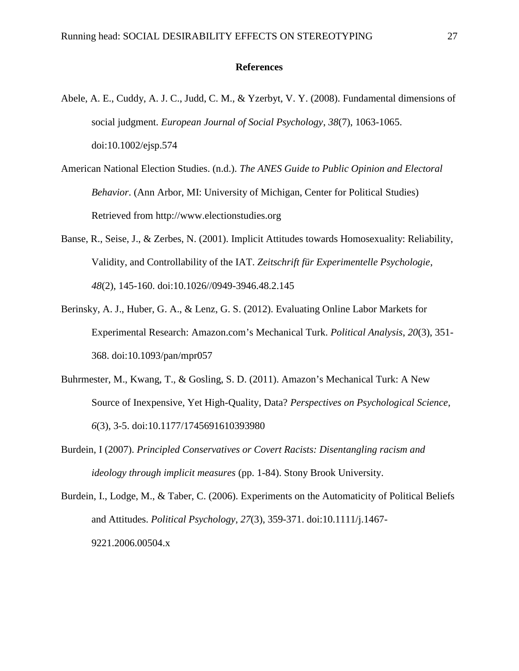#### **References**

- Abele, A. E., Cuddy, A. J. C., Judd, C. M., & Yzerbyt, V. Y. (2008). Fundamental dimensions of social judgment. *European Journal of Social Psychology*, *38*(7), 1063-1065. doi:10.1002/ejsp.574
- American National Election Studies. (n.d.). *The ANES Guide to Public Opinion and Electoral Behavior*. (Ann Arbor, MI: University of Michigan, Center for Political Studies) Retrieved from http://www.electionstudies.org
- Banse, R., Seise, J., & Zerbes, N. (2001). Implicit Attitudes towards Homosexuality: Reliability, Validity, and Controllability of the IAT. *Zeitschrift für Experimentelle Psychologie*, *48*(2), 145-160. doi:10.1026//0949-3946.48.2.145
- Berinsky, A. J., Huber, G. A., & Lenz, G. S. (2012). Evaluating Online Labor Markets for Experimental Research: Amazon.com's Mechanical Turk. *Political Analysis*, *20*(3), 351- 368. doi:10.1093/pan/mpr057
- Buhrmester, M., Kwang, T., & Gosling, S. D. (2011). Amazon's Mechanical Turk: A New Source of Inexpensive, Yet High-Quality, Data? *Perspectives on Psychological Science*, *6*(3), 3-5. doi:10.1177/1745691610393980
- Burdein, I (2007). *Principled Conservatives or Covert Racists: Disentangling racism and ideology through implicit measures* (pp. 1-84). Stony Brook University.
- Burdein, I., Lodge, M., & Taber, C. (2006). Experiments on the Automaticity of Political Beliefs and Attitudes. *Political Psychology*, *27*(3), 359-371. doi:10.1111/j.1467- 9221.2006.00504.x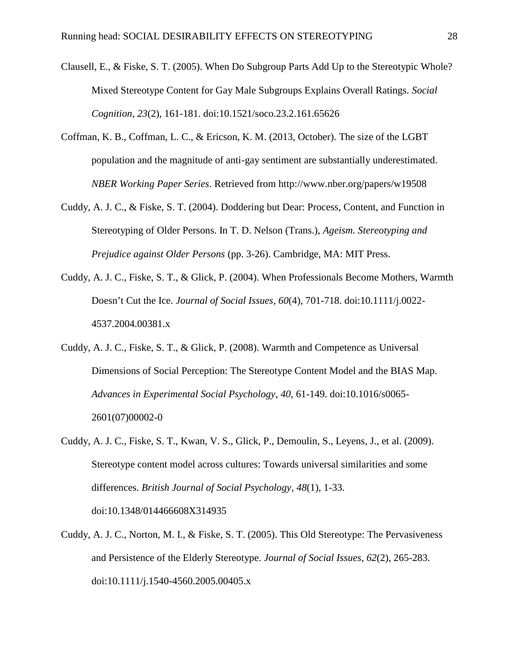- Clausell, E., & Fiske, S. T. (2005). When Do Subgroup Parts Add Up to the Stereotypic Whole? Mixed Stereotype Content for Gay Male Subgroups Explains Overall Ratings. *Social Cognition*, *23*(2), 161-181. doi:10.1521/soco.23.2.161.65626
- Coffman, K. B., Coffman, L. C., & Ericson, K. M. (2013, October). The size of the LGBT population and the magnitude of anti-gay sentiment are substantially underestimated. *NBER Working Paper Series*. Retrieved from http://www.nber.org/papers/w19508
- Cuddy, A. J. C., & Fiske, S. T. (2004). Doddering but Dear: Process, Content, and Function in Stereotyping of Older Persons. In T. D. Nelson (Trans.), *Ageism. Stereotyping and Prejudice against Older Persons* (pp. 3-26). Cambridge, MA: MIT Press.
- Cuddy, A. J. C., Fiske, S. T., & Glick, P. (2004). When Professionals Become Mothers, Warmth Doesn't Cut the Ice. *Journal of Social Issues*, *60*(4), 701-718. doi:10.1111/j.0022- 4537.2004.00381.x
- Cuddy, A. J. C., Fiske, S. T., & Glick, P. (2008). Warmth and Competence as Universal Dimensions of Social Perception: The Stereotype Content Model and the BIAS Map. *Advances in Experimental Social Psychology*, *40*, 61-149. doi:10.1016/s0065- 2601(07)00002-0
- Cuddy, A. J. C., Fiske, S. T., Kwan, V. S., Glick, P., Demoulin, S., Leyens, J., et al. (2009). Stereotype content model across cultures: Towards universal similarities and some differences. *British Journal of Social Psychology*, *48*(1), 1-33. doi:10.1348/014466608X314935
- Cuddy, A. J. C., Norton, M. I., & Fiske, S. T. (2005). This Old Stereotype: The Pervasiveness and Persistence of the Elderly Stereotype. *Journal of Social Issues*, *62*(2), 265-283. doi:10.1111/j.1540-4560.2005.00405.x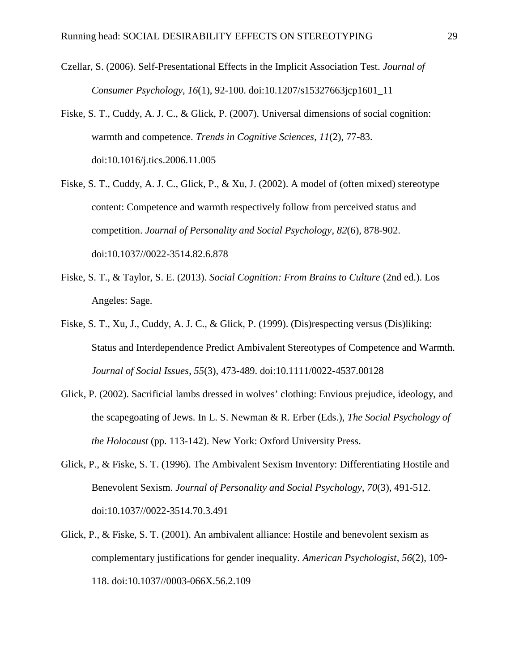- Czellar, S. (2006). Self-Presentational Effects in the Implicit Association Test. *Journal of Consumer Psychology*, *16*(1), 92-100. doi:10.1207/s15327663jcp1601\_11
- Fiske, S. T., Cuddy, A. J. C., & Glick, P. (2007). Universal dimensions of social cognition: warmth and competence. *Trends in Cognitive Sciences*, *11*(2), 77-83. doi:10.1016/j.tics.2006.11.005
- Fiske, S. T., Cuddy, A. J. C., Glick, P., & Xu, J. (2002). A model of (often mixed) stereotype content: Competence and warmth respectively follow from perceived status and competition. *Journal of Personality and Social Psychology*, *82*(6), 878-902. doi:10.1037//0022-3514.82.6.878
- Fiske, S. T., & Taylor, S. E. (2013). *Social Cognition: From Brains to Culture* (2nd ed.). Los Angeles: Sage.
- Fiske, S. T., Xu, J., Cuddy, A. J. C., & Glick, P. (1999). (Dis)respecting versus (Dis)liking: Status and Interdependence Predict Ambivalent Stereotypes of Competence and Warmth. *Journal of Social Issues*, *55*(3), 473-489. doi:10.1111/0022-4537.00128
- Glick, P. (2002). Sacrificial lambs dressed in wolves' clothing: Envious prejudice, ideology, and the scapegoating of Jews. In L. S. Newman & R. Erber (Eds.), *The Social Psychology of the Holocaust* (pp. 113-142). New York: Oxford University Press.
- Glick, P., & Fiske, S. T. (1996). The Ambivalent Sexism Inventory: Differentiating Hostile and Benevolent Sexism. *Journal of Personality and Social Psychology*, *70*(3), 491-512. doi:10.1037//0022-3514.70.3.491
- Glick, P., & Fiske, S. T. (2001). An ambivalent alliance: Hostile and benevolent sexism as complementary justifications for gender inequality. *American Psychologist*, *56*(2), 109- 118. doi:10.1037//0003-066X.56.2.109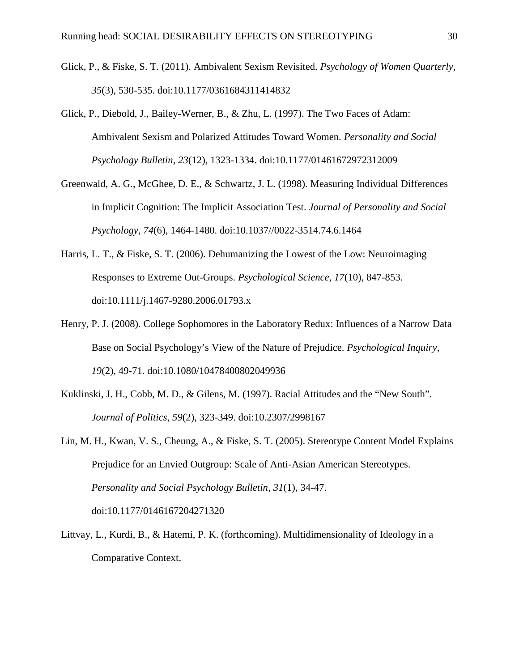- Glick, P., & Fiske, S. T. (2011). Ambivalent Sexism Revisited. *Psychology of Women Quarterly*, *35*(3), 530-535. doi:10.1177/0361684311414832
- Glick, P., Diebold, J., Bailey-Werner, B., & Zhu, L. (1997). The Two Faces of Adam: Ambivalent Sexism and Polarized Attitudes Toward Women. *Personality and Social Psychology Bulletin*, *23*(12), 1323-1334. doi:10.1177/01461672972312009
- Greenwald, A. G., McGhee, D. E., & Schwartz, J. L. (1998). Measuring Individual Differences in Implicit Cognition: The Implicit Association Test. *Journal of Personality and Social Psychology*, *74*(6), 1464-1480. doi:10.1037//0022-3514.74.6.1464
- Harris, L. T., & Fiske, S. T. (2006). Dehumanizing the Lowest of the Low: Neuroimaging Responses to Extreme Out-Groups. *Psychological Science*, *17*(10), 847-853. doi:10.1111/j.1467-9280.2006.01793.x
- Henry, P. J. (2008). College Sophomores in the Laboratory Redux: Influences of a Narrow Data Base on Social Psychology's View of the Nature of Prejudice. *Psychological Inquiry*, *19*(2), 49-71. doi:10.1080/10478400802049936
- Kuklinski, J. H., Cobb, M. D., & Gilens, M. (1997). Racial Attitudes and the "New South". *Journal of Politics*, *59*(2), 323-349. doi:10.2307/2998167
- Lin, M. H., Kwan, V. S., Cheung, A., & Fiske, S. T. (2005). Stereotype Content Model Explains Prejudice for an Envied Outgroup: Scale of Anti-Asian American Stereotypes. *Personality and Social Psychology Bulletin*, *31*(1), 34-47. doi:10.1177/0146167204271320
- Littvay, L., Kurdi, B., & Hatemi, P. K. (forthcoming). Multidimensionality of Ideology in a Comparative Context.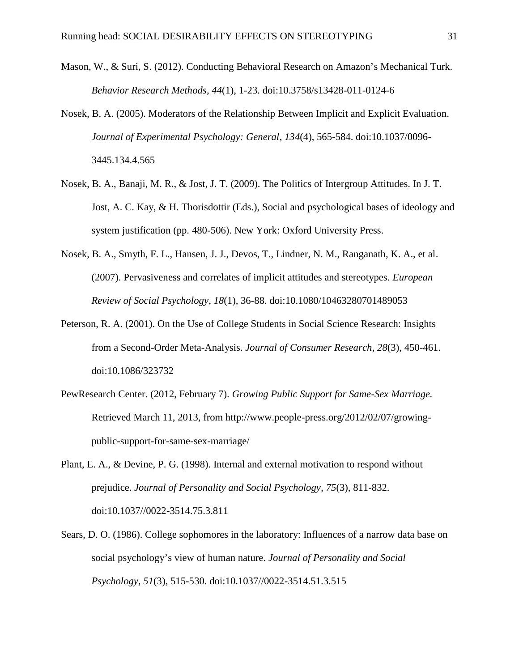- Mason, W., & Suri, S. (2012). Conducting Behavioral Research on Amazon's Mechanical Turk. *Behavior Research Methods*, *44*(1), 1-23. doi:10.3758/s13428-011-0124-6
- Nosek, B. A. (2005). Moderators of the Relationship Between Implicit and Explicit Evaluation. *Journal of Experimental Psychology: General*, *134*(4), 565-584. doi:10.1037/0096- 3445.134.4.565
- Nosek, B. A., Banaji, M. R., & Jost, J. T. (2009). The Politics of Intergroup Attitudes. In J. T. Jost, A. C. Kay, & H. Thorisdottir (Eds.), Social and psychological bases of ideology and system justification (pp. 480-506). New York: Oxford University Press.
- Nosek, B. A., Smyth, F. L., Hansen, J. J., Devos, T., Lindner, N. M., Ranganath, K. A., et al. (2007). Pervasiveness and correlates of implicit attitudes and stereotypes. *European Review of Social Psychology*, *18*(1), 36-88. doi:10.1080/10463280701489053
- Peterson, R. A. (2001). On the Use of College Students in Social Science Research: Insights from a Second-Order Meta-Analysis. *Journal of Consumer Research*, *28*(3), 450-461. doi:10.1086/323732
- PewResearch Center. (2012, February 7). *Growing Public Support for Same-Sex Marriage.* Retrieved March 11, 2013, from http://www.people-press.org/2012/02/07/growing public-support-for-same-sex-marriage/
- Plant, E. A., & Devine, P. G. (1998). Internal and external motivation to respond without prejudice. *Journal of Personality and Social Psychology*, *75*(3), 811-832. doi:10.1037//0022-3514.75.3.811
- Sears, D. O. (1986). College sophomores in the laboratory: Influences of a narrow data base on social psychology's view of human nature. *Journal of Personality and Social Psychology*, *51*(3), 515-530. doi:10.1037//0022-3514.51.3.515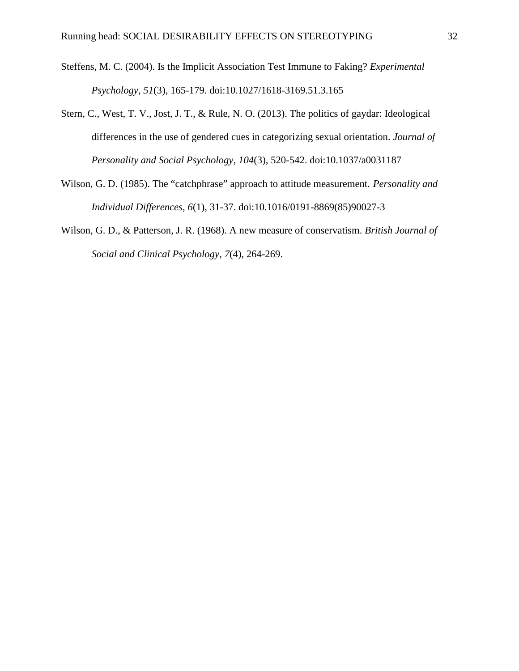- Steffens, M. C. (2004). Is the Implicit Association Test Immune to Faking? *Experimental Psychology*, *51*(3), 165-179. doi:10.1027/1618-3169.51.3.165
- Stern, C., West, T. V., Jost, J. T., & Rule, N. O. (2013). The politics of gaydar: Ideological differences in the use of gendered cues in categorizing sexual orientation. *Journal of Personality and Social Psychology*, *104*(3), 520-542. doi:10.1037/a0031187
- Wilson, G. D. (1985). The "catchphrase" approach to attitude measurement. *Personality and Individual Differences*, *6*(1), 31-37. doi:10.1016/0191-8869(85)90027-3
- Wilson, G. D., & Patterson, J. R. (1968). A new measure of conservatism. *British Journal of Social and Clinical Psychology*, *7*(4), 264-269.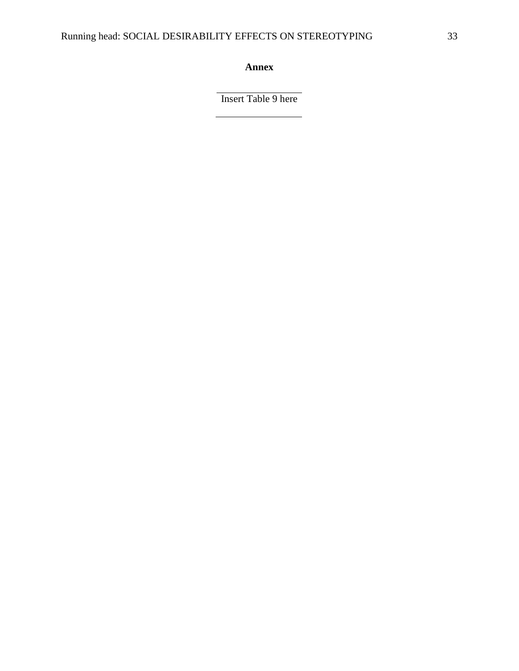**Annex**

Insert Table 9 here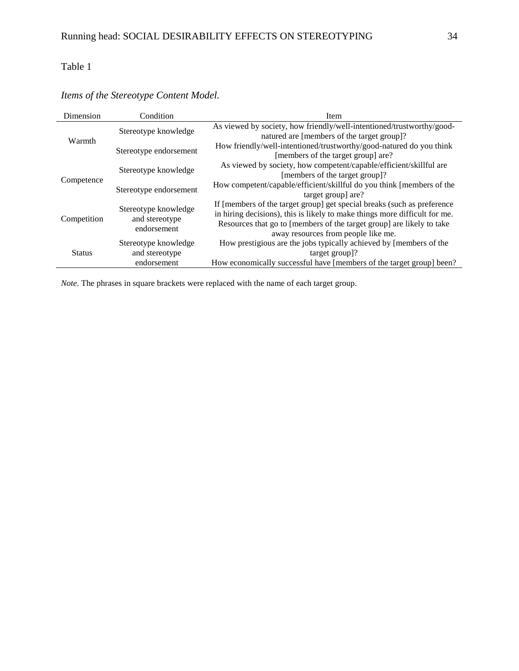| Dimension     | Condition                     | Item                                                                       |
|---------------|-------------------------------|----------------------------------------------------------------------------|
|               |                               | As viewed by society, how friendly/well-intentioned/trustworthy/good-      |
| Warmth        | Stereotype knowledge          | natured are [members of the target group]?                                 |
|               |                               | How friendly/well-intentioned/trustworthy/good-natured do you think        |
|               | Stereotype endorsement        | [members of the target group] are?                                         |
| Competence    |                               | As viewed by society, how competent/capable/efficient/skillful are         |
|               | Stereotype knowledge          | [members of the target group]?                                             |
|               | Stereotype endorsement        | How competent/capable/efficient/skillful do you think [members of the      |
|               |                               | target group] are?                                                         |
|               | Stereotype knowledge          | If [members of the target group] get special breaks (such as preference    |
| Competition   |                               | in hiring decisions), this is likely to make things more difficult for me. |
|               | and stereotype<br>endorsement | Resources that go to [members of the target group] are likely to take      |
|               |                               | away resources from people like me.                                        |
|               | Stereotype knowledge          | How prestigious are the jobs typically achieved by [members of the         |
| <b>Status</b> | and stereotype                | target group?                                                              |
|               | endorsement                   | How economically successful have [members of the target group] been?       |

# *Items of the Stereotype Content Model.*

*Note*. The phrases in square brackets were replaced with the name of each target group.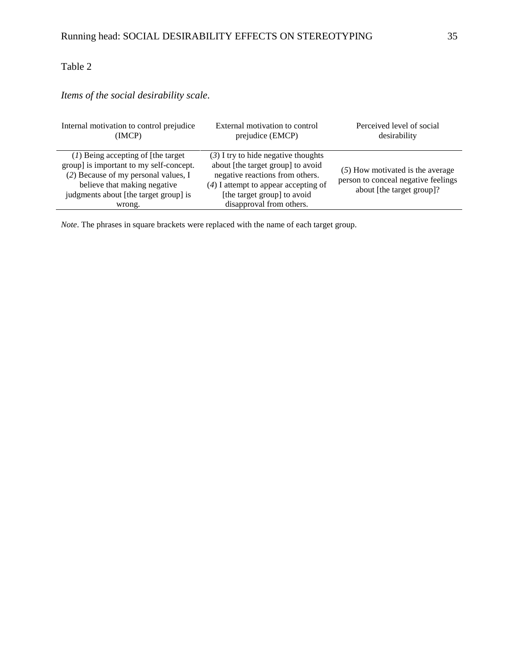# *Items of the social desirability scale.*

| Internal motivation to control prejudice                                                                                                                                                                    | External motivation to control                                                                                                                                                                                     | Perceived level of social                                                                              |
|-------------------------------------------------------------------------------------------------------------------------------------------------------------------------------------------------------------|--------------------------------------------------------------------------------------------------------------------------------------------------------------------------------------------------------------------|--------------------------------------------------------------------------------------------------------|
| (IMCP)                                                                                                                                                                                                      | prejudice (EMCP)                                                                                                                                                                                                   | desirability                                                                                           |
| $(1)$ Being accepting of [the target]<br>group] is important to my self-concept.<br>(2) Because of my personal values, I<br>believe that making negative<br>judgments about [the target group] is<br>wrong. | $(3)$ I try to hide negative thoughts<br>about [the target group] to avoid<br>negative reactions from others.<br>$(4)$ I attempt to appear accepting of<br>[the target group] to avoid<br>disapproval from others. | $(5)$ How motivated is the average<br>person to conceal negative feelings<br>about [the target group]? |

*Note*. The phrases in square brackets were replaced with the name of each target group.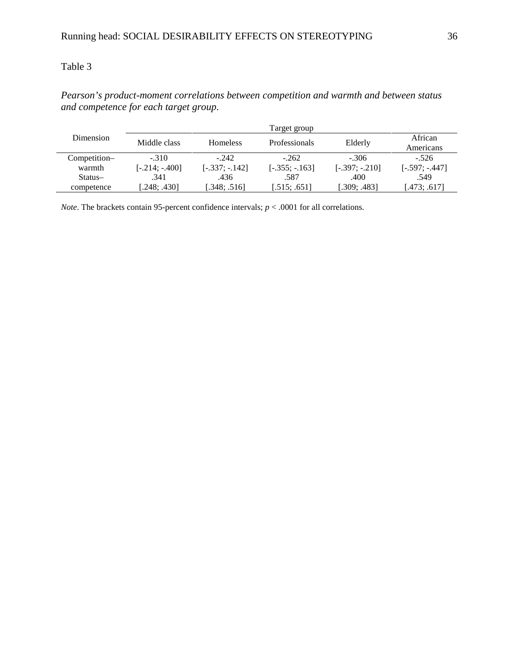|              | Target group     |                  |                 |                  |                      |  |  |  |  |  |
|--------------|------------------|------------------|-----------------|------------------|----------------------|--|--|--|--|--|
| Dimension    | Middle class     | <b>Homeless</b>  | Professionals   | Elderly          | African<br>Americans |  |  |  |  |  |
| Competition- | $-.310$          | $-242$           | $-262$          | $-306$           | $-.526$              |  |  |  |  |  |
| warmth       | $[-.214; -.400]$ | $[-.337; -.142]$ | $[-.355:-.163]$ | $[-.397; -.210]$ | $[-.597; -0.447]$    |  |  |  |  |  |
| Status-      | .341             | .436             | .587            | .400             | .549                 |  |  |  |  |  |
| competence   | [.248; .430]     | [.348; .516]     | [.515; .651]    | [.309; .483]     | [.473; .617]         |  |  |  |  |  |

*Pearson's product-moment correlations between competition and warmth and between status and competence for each target group.*

*Note*. The brackets contain 95-percent confidence intervals;  $p < .0001$  for all correlations.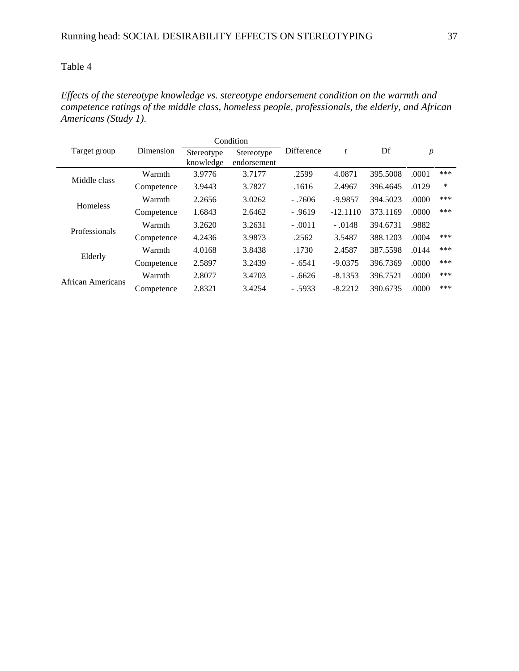*Effects of the stereotype knowledge vs. stereotype endorsement condition on the warmth and competence ratings of the middle class, homeless people, professionals, the elderly, and African Americans (Study 1).*

|                          |            |                         | Condition                 |            |            |          | $\boldsymbol{p}$ |     |
|--------------------------|------------|-------------------------|---------------------------|------------|------------|----------|------------------|-----|
| Target group             | Dimension  | Stereotype<br>knowledge | Stereotype<br>endorsement | Difference | t          | Df       |                  |     |
|                          | Warmth     | 3.9776                  | 3.7177                    | .2599      | 4.0871     | 395.5008 | .0001            | *** |
| Middle class             | Competence | 3.9443                  | 3.7827                    | .1616      | 2.4967     | 396.4645 | .0129            | *   |
| <b>Homeless</b>          | Warmth     | 2.2656                  | 3.0262                    | $-7606$    | $-9.9857$  | 394.5023 | .0000            | *** |
|                          | Competence | 1.6843                  | 2.6462                    | $-.9619$   | $-12.1110$ | 373.1169 | .0000            | *** |
| Professionals            | Warmth     | 3.2620                  | 3.2631                    | $-.0011$   | $-.0148$   | 394.6731 | .9882            |     |
|                          | Competence | 4.2436                  | 3.9873                    | .2562      | 3.5487     | 388.1203 | .0004            | *** |
|                          | Warmth     | 4.0168                  | 3.8438                    | .1730      | 2.4587     | 387.5598 | .0144            | *** |
| Elderly                  | Competence | 2.5897                  | 3.2439                    | $-.6541$   | $-9.0375$  | 396.7369 | .0000            | *** |
|                          | Warmth     | 2.8077                  | 3.4703                    | $-.6626$   | $-8.1353$  | 396.7521 | .0000            | *** |
| <b>African Americans</b> | Competence | 2.8321                  | 3.4254                    | $-.5933$   | $-8.2212$  | 390.6735 | .0000            | *** |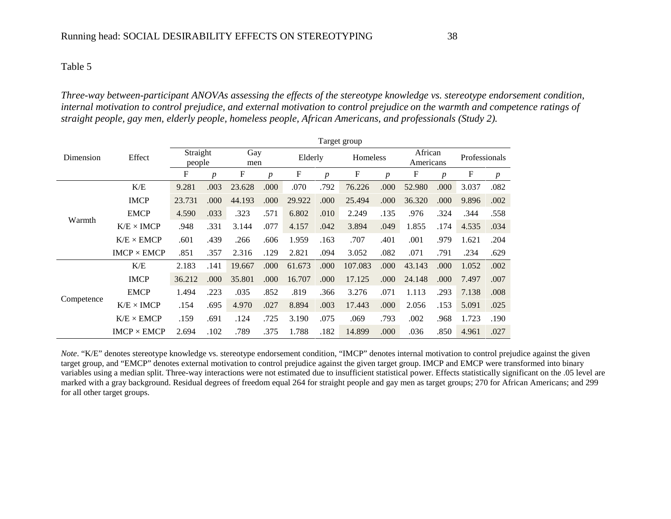*Three-way between-participant ANOVAs assessing the effects of the stereotype knowledge vs. stereotype endorsement condition, internal motivation to control prejudice, and external motivation to control prejudice on the warmth and competence ratings of straight people, gay men, elderly people, homeless people, African Americans, and professionals (Study 2).*

|                     |                    | Target group       |                  |            |                  |        |                  |         |                  |        |                      |       |                  |
|---------------------|--------------------|--------------------|------------------|------------|------------------|--------|------------------|---------|------------------|--------|----------------------|-------|------------------|
| Dimension<br>Warmth | Effect             | Straight<br>people |                  | Gay<br>men |                  |        | Elderly          |         | Homeless         |        | African<br>Americans |       | Professionals    |
|                     |                    | F                  | $\boldsymbol{p}$ | F          | $\boldsymbol{p}$ | F      | $\boldsymbol{p}$ | F       | $\boldsymbol{p}$ | F      | $\boldsymbol{p}$     | F     | $\boldsymbol{p}$ |
|                     | K/E                | 9.281              | .003             | 23.628     | .000             | .070   | .792             | 76.226  | .000             | 52.980 | .000                 | 3.037 | .082             |
|                     | <b>IMCP</b>        | 23.731             | .000             | 44.193     | .000             | 29.922 | .000             | 25.494  | .000             | 36.320 | .000                 | 9.896 | .002             |
|                     | <b>EMCP</b>        | 4.590              | .033             | .323       | .571             | 6.802  | .010             | 2.249   | .135             | .976   | .324                 | .344  | .558             |
|                     | $K/E \times IMCP$  | .948               | .331             | 3.144      | .077             | 4.157  | .042             | 3.894   | .049             | 1.855  | .174                 | 4.535 | .034             |
|                     | $K/E \times EMCP$  | .601               | .439             | .266       | .606             | 1.959  | .163             | .707    | .401             | .001   | .979                 | 1.621 | .204             |
|                     | $IMCP \times EMCP$ | .851               | .357             | 2.316      | .129             | 2.821  | .094             | 3.052   | .082             | .071   | .791                 | .234  | .629             |
|                     | K/E                | 2.183              | .141             | 19.667     | .000             | 61.673 | .000             | 107.083 | .000             | 43.143 | .000                 | 1.052 | .002             |
|                     | <b>IMCP</b>        | 36.212             | .000             | 35.801     | .000             | 16.707 | .000             | 17.125  | .000             | 24.148 | .000                 | 7.497 | .007             |
|                     | <b>EMCP</b>        | 1.494              | .223             | .035       | .852             | .819   | .366             | 3.276   | .071             | 1.113  | .293                 | 7.138 | .008             |
| Competence          | $K/E \times IMCP$  | .154               | .695             | 4.970      | .027             | 8.894  | .003             | 17.443  | .000             | 2.056  | .153                 | 5.091 | .025             |
|                     | $K/E \times EMCP$  | .159               | .691             | .124       | .725             | 3.190  | .075             | .069    | .793             | .002   | .968                 | 1.723 | .190             |
|                     | $IMCP \times EMCP$ | 2.694              | .102             | .789       | .375             | 1.788  | .182             | 14.899  | .000             | .036   | .850                 | 4.961 | .027             |

*Note*. "K/E" denotes stereotype knowledge vs. stereotype endorsement condition, "IMCP" denotes internal motivation to control prejudice against the given target group, and "EMCP" denotes external motivation to control prejudice against the given target group. IMCP and EMCP were transformed into binary variables using a median split. Three-way interactions were not estimated due to insufficient statistical power. Effects statistically significant on the .05 level are marked with a gray background. Residual degrees of freedom equal 264 for straight people and gay men as target groups; 270 for African Americans; and 299 for all other target groups.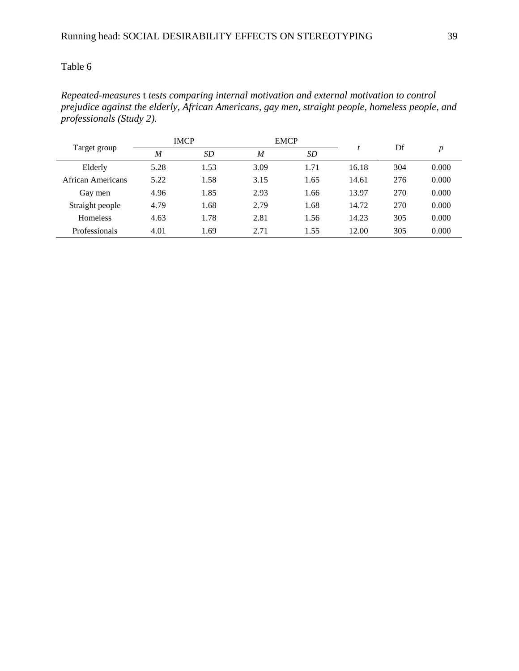*Repeated-measures* t *tests comparing internal motivation and external motivation to control prejudice against the elderly, African Americans, gay men, straight people, homeless people, and professionals (Study 2).*

| Target group         |                     | <b>IMCP</b> |      | <b>EMCP</b> |       | Df  |       |
|----------------------|---------------------|-------------|------|-------------|-------|-----|-------|
|                      | <b>SD</b><br>M<br>M |             |      | <b>SD</b>   |       |     | p     |
| Elderly              | 5.28                | 1.53        | 3.09 | 1.71        | 16.18 | 304 | 0.000 |
| African Americans    | 5.22                | 1.58        | 3.15 | 1.65        | 14.61 | 276 | 0.000 |
| Gay men              | 4.96                | 1.85        | 2.93 | 1.66        | 13.97 | 270 | 0.000 |
| Straight people      | 4.79                | 1.68        | 2.79 | 1.68        | 14.72 | 270 | 0.000 |
| Homeless             | 4.63                | 1.78        | 2.81 | 1.56        | 14.23 | 305 | 0.000 |
| <b>Professionals</b> | 4.01                | 1.69        | 2.71 | 1.55        | 12.00 | 305 | 0.000 |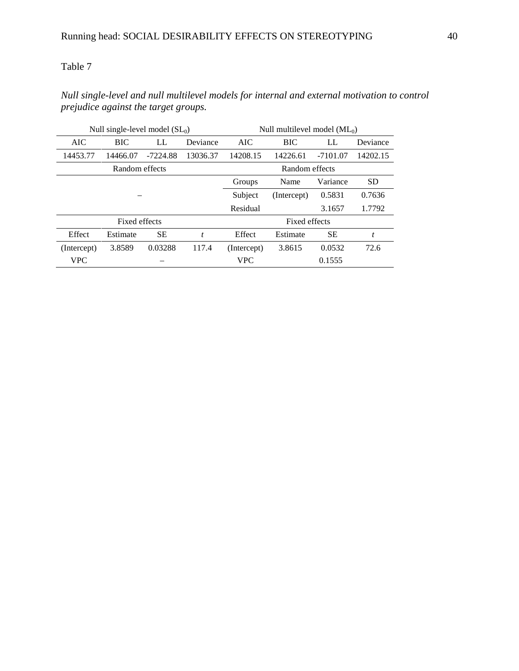# *Null single-level and null multilevel models for internal and external motivation to control prejudice against the target groups.*

|             | Null single-level model $(SL_0)$ |            |                  | Null multilevel model $(ML_0)$ |                |                |           |  |  |  |
|-------------|----------------------------------|------------|------------------|--------------------------------|----------------|----------------|-----------|--|--|--|
| AIC         | <b>BIC</b>                       | LL         | Deviance         | AIC                            | <b>BIC</b>     | LL<br>Deviance |           |  |  |  |
| 14453.77    | 14466.07                         | $-7224.88$ | 13036.37         | 14208.15                       | 14226.61       | $-7101.07$     | 14202.15  |  |  |  |
|             | Random effects                   |            |                  |                                | Random effects |                |           |  |  |  |
|             |                                  |            |                  | Groups                         | Name           | Variance       | <b>SD</b> |  |  |  |
|             |                                  |            |                  |                                | (Intercept)    | 0.5831         | 0.7636    |  |  |  |
|             |                                  |            |                  | Residual                       |                | 3.1657         | 1.7792    |  |  |  |
|             | Fixed effects                    |            |                  | Fixed effects                  |                |                |           |  |  |  |
| Effect      | Estimate                         | <b>SE</b>  | $\boldsymbol{t}$ | Effect                         | Estimate       | SЕ             | t         |  |  |  |
| (Intercept) | 3.8589                           | 0.03288    | 117.4            | (Intercept)                    | 3.8615         | 0.0532         | 72.6      |  |  |  |
| <b>VPC</b>  |                                  |            |                  | <b>VPC</b>                     |                | 0.1555         |           |  |  |  |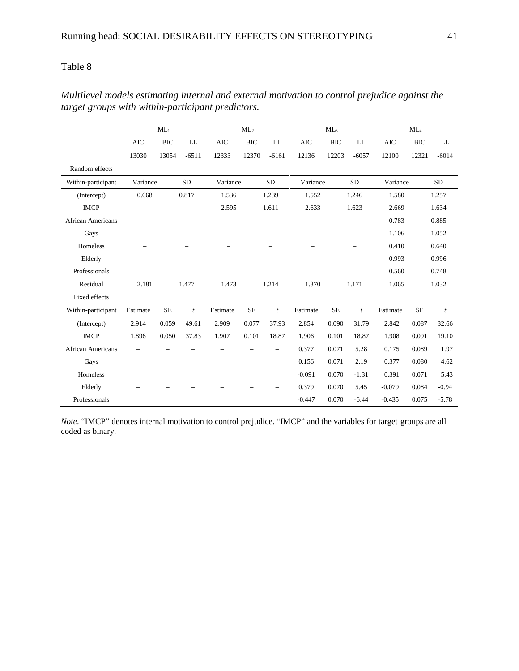|                          |                          | $ML_1$                   |                          |                          | $ML_2$                   |                          | ML <sub>3</sub>          |            |                          | $ML_4$     |            |              |
|--------------------------|--------------------------|--------------------------|--------------------------|--------------------------|--------------------------|--------------------------|--------------------------|------------|--------------------------|------------|------------|--------------|
|                          | <b>AIC</b>               | <b>BIC</b>               | LL                       | <b>AIC</b>               | <b>BIC</b>               | LL                       | <b>AIC</b>               | <b>BIC</b> | LL                       | <b>AIC</b> | <b>BIC</b> | LL           |
|                          | 13030                    | 13054                    | $-6511$                  | 12333                    | 12370                    | $-6161$                  | 12136                    | 12203      | $-6057$                  | 12100      | 12321      | $-6014$      |
| Random effects           |                          |                          |                          |                          |                          |                          |                          |            |                          |            |            |              |
| Within-participant       | Variance                 |                          | <b>SD</b>                | Variance                 |                          | <b>SD</b>                | Variance                 |            | <b>SD</b>                | Variance   |            | <b>SD</b>    |
| (Intercept)              | 0.668                    |                          | 0.817                    | 1.536                    |                          | 1.239                    | 1.552                    |            | 1.246                    | 1.580      |            | 1.257        |
| <b>IMCP</b>              | $\overline{\phantom{0}}$ |                          | $\overline{\phantom{0}}$ | 2.595                    |                          | 1.611                    | 2.633                    |            | 1.623                    | 2.669      |            | 1.634        |
| <b>African Americans</b> | $\overline{\phantom{0}}$ |                          | $\overline{\phantom{0}}$ |                          |                          | $\overline{\phantom{0}}$ | $\overline{\phantom{0}}$ |            | $\overline{\phantom{0}}$ | 0.783      |            | 0.885        |
| Gays                     | $\overline{\phantom{0}}$ |                          | $\overline{\phantom{0}}$ | $\overline{\phantom{0}}$ |                          | $\overline{\phantom{0}}$ | $\overline{\phantom{0}}$ |            | $\qquad \qquad$          | 1.106      |            | 1.052        |
| Homeless                 | $\overline{\phantom{0}}$ |                          | $\overline{\phantom{0}}$ | $\overline{\phantom{0}}$ |                          | $\overline{\phantom{0}}$ | $\overline{\phantom{0}}$ |            | $\overline{\phantom{0}}$ | 0.410      |            | 0.640        |
| Elderly                  | $\overline{\phantom{0}}$ |                          | $\overline{\phantom{0}}$ | $\overline{\phantom{0}}$ |                          |                          | $\overline{\phantom{0}}$ |            | $\overline{\phantom{0}}$ | 0.993      |            | 0.996        |
| Professionals            | $\overline{\phantom{0}}$ |                          | $\overline{\phantom{0}}$ | $\overline{\phantom{0}}$ |                          | $\overline{\phantom{0}}$ | $\overline{\phantom{0}}$ |            | $\overline{\phantom{0}}$ | 0.560      |            | 0.748        |
| Residual                 | 2.181                    |                          | 1.477                    | 1.473                    |                          | 1.214                    | 1.370                    |            | 1.171                    | 1.065      |            | 1.032        |
| Fixed effects            |                          |                          |                          |                          |                          |                          |                          |            |                          |            |            |              |
| Within-participant       | Estimate                 | <b>SE</b>                | $\mathfrak{t}$           | Estimate                 | <b>SE</b>                | $\mathfrak{t}$           | Estimate                 | <b>SE</b>  | $\boldsymbol{t}$         | Estimate   | <b>SE</b>  | $\mathbf{t}$ |
| (Intercept)              | 2.914                    | 0.059                    | 49.61                    | 2.909                    | 0.077                    | 37.93                    | 2.854                    | 0.090      | 31.79                    | 2.842      | 0.087      | 32.66        |
| <b>IMCP</b>              | 1.896                    | 0.050                    | 37.83                    | 1.907                    | 0.101                    | 18.87                    | 1.906                    | 0.101      | 18.87                    | 1.908      | 0.091      | 19.10        |
| <b>African Americans</b> | $\overline{\phantom{0}}$ |                          |                          |                          |                          | $\overline{\phantom{0}}$ | 0.377                    | 0.071      | 5.28                     | 0.175      | 0.089      | 1.97         |
| Gays                     | $\overline{\phantom{0}}$ | $\overline{\phantom{0}}$ | $\overline{\phantom{0}}$ | $\overline{\phantom{0}}$ | $\overline{\phantom{0}}$ | $\overline{\phantom{0}}$ | 0.156                    | 0.071      | 2.19                     | 0.377      | 0.080      | 4.62         |
| Homeless                 | $\overline{\phantom{0}}$ | $\overline{\phantom{0}}$ |                          |                          |                          | $\overline{\phantom{0}}$ | $-0.091$                 | 0.070      | $-1.31$                  | 0.391      | 0.071      | 5.43         |
| Elderly                  | $\overline{\phantom{0}}$ | $\overline{\phantom{0}}$ |                          | $\overline{\phantom{0}}$ |                          | $\overline{\phantom{0}}$ | 0.379                    | 0.070      | 5.45                     | $-0.079$   | 0.084      | $-0.94$      |
| Professionals            |                          | -                        |                          | $\overline{\phantom{0}}$ |                          | $\overline{\phantom{0}}$ | $-0.447$                 | 0.070      | $-6.44$                  | $-0.435$   | 0.075      | $-5.78$      |

# *Multilevel models estimating internal and external motivation to control prejudice against the target groups with within-participant predictors.*

*Note*. "IMCP" denotes internal motivation to control prejudice. "IMCP" and the variables for target groups are all coded as binary.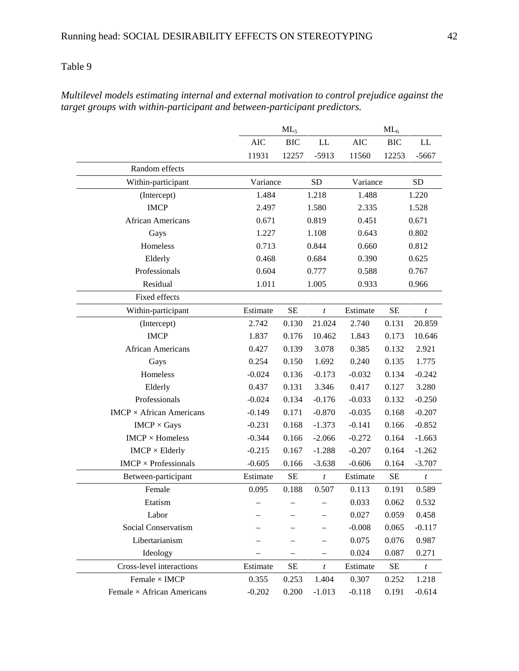|                                   |            | $ML_5$     |                          |            | $ML_6$     |                  |
|-----------------------------------|------------|------------|--------------------------|------------|------------|------------------|
|                                   | <b>AIC</b> | <b>BIC</b> | LL                       | <b>AIC</b> | <b>BIC</b> | LL               |
|                                   | 11931      | 12257      | $-5913$                  | 11560      | 12253      | $-5667$          |
| Random effects                    |            |            |                          |            |            |                  |
| Within-participant                | Variance   |            | <b>SD</b>                | Variance   |            | <b>SD</b>        |
| (Intercept)                       | 1.484      |            | 1.218                    | 1.488      |            | 1.220            |
| <b>IMCP</b>                       | 2.497      |            | 1.580                    | 2.335      |            | 1.528            |
| African Americans                 | 0.671      |            | 0.819                    | 0.451      |            | 0.671            |
| Gays                              | 1.227      |            | 1.108                    | 0.643      |            | 0.802            |
| Homeless                          | 0.713      |            | 0.844                    | 0.660      |            | 0.812            |
| Elderly                           | 0.468      |            | 0.684                    | 0.390      |            | 0.625            |
| Professionals                     | 0.604      |            | 0.777                    | 0.588      |            | 0.767            |
| Residual                          | 1.011      |            | 1.005                    | 0.933      |            | 0.966            |
| Fixed effects                     |            |            |                          |            |            |                  |
| Within-participant                | Estimate   | <b>SE</b>  | $\boldsymbol{t}$         | Estimate   | $\rm SE$   | $\boldsymbol{t}$ |
| (Intercept)                       | 2.742      | 0.130      | 21.024                   | 2.740      | 0.131      | 20.859           |
| <b>IMCP</b>                       | 1.837      | 0.176      | 10.462                   | 1.843      | 0.173      | 10.646           |
| African Americans                 | 0.427      | 0.139      | 3.078                    | 0.385      | 0.132      | 2.921            |
| Gays                              | 0.254      | 0.150      | 1.692                    | 0.240      | 0.135      | 1.775            |
| Homeless                          | $-0.024$   | 0.136      | $-0.173$                 | $-0.032$   | 0.134      | $-0.242$         |
| Elderly                           | 0.437      | 0.131      | 3.346                    | 0.417      | 0.127      | 3.280            |
| Professionals                     | $-0.024$   | 0.134      | $-0.176$                 | $-0.033$   | 0.132      | $-0.250$         |
| $IMCP \times African$ Americans   | $-0.149$   | 0.171      | $-0.870$                 | $-0.035$   | 0.168      | $-0.207$         |
| $IMCP \times Gays$                | $-0.231$   | 0.168      | $-1.373$                 | $-0.141$   | 0.166      | $-0.852$         |
| $IMCP \times Homeless$            | $-0.344$   | 0.166      | $-2.066$                 | $-0.272$   | 0.164      | $-1.663$         |
| $IMCP \times Elderly$             | $-0.215$   | 0.167      | $-1.288$                 | $-0.207$   | 0.164      | $-1.262$         |
| $IMCP \times Professionals$       | $-0.605$   | 0.166      | $-3.638$                 | $-0.606$   | 0.164      | $-3.707$         |
| Between-participant               | Estimate   | $\rm SE$   | $\boldsymbol{t}$         | Estimate   | $\rm SE$   | $\boldsymbol{t}$ |
| Female                            | 0.095      | 0.188      | 0.507                    | 0.113      | 0.191      | 0.589            |
| Etatism                           |            |            |                          | 0.033      | 0.062      | 0.532            |
| Labor                             |            |            |                          | 0.027      | 0.059      | 0.458            |
| Social Conservatism               |            |            | —                        | $-0.008$   | 0.065      | $-0.117$         |
| Libertarianism                    |            |            | $\overline{\phantom{0}}$ | 0.075      | 0.076      | 0.987            |
| Ideology                          |            |            |                          | 0.024      | 0.087      | 0.271            |
| Cross-level interactions          | Estimate   | SE         | $\boldsymbol{t}$         | Estimate   | $\rm SE$   | $\boldsymbol{t}$ |
| Female $\times$ IMCP              | 0.355      | 0.253      | 1.404                    | 0.307      | 0.252      | 1.218            |
| Female $\times$ African Americans | $-0.202$   | 0.200      | $-1.013$                 | $-0.118$   | 0.191      | $-0.614$         |

*Multilevel models estimating internal and external motivation to control prejudice against the target groups with within-participant and between-participant predictors.*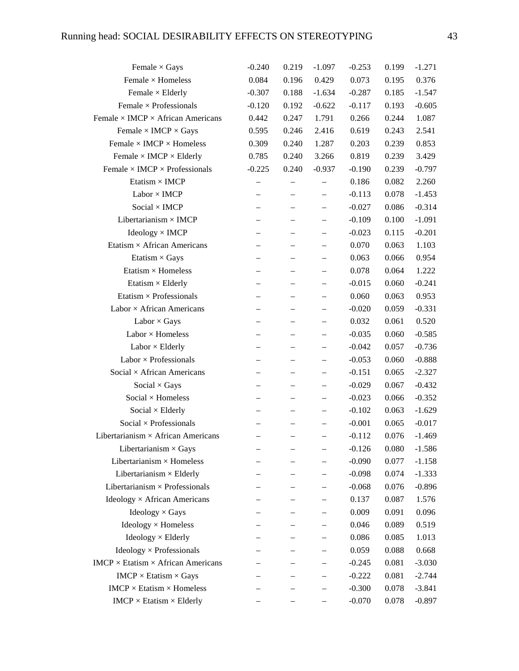| Female $\times$ Gays                            | $-0.240$                 | 0.219             | $-1.097$                 | $-0.253$ | 0.199 | $-1.271$ |
|-------------------------------------------------|--------------------------|-------------------|--------------------------|----------|-------|----------|
| Female $\times$ Homeless                        | 0.084                    | 0.196             | 0.429                    | 0.073    | 0.195 | 0.376    |
| Female $\times$ Elderly                         | $-0.307$                 | 0.188             | $-1.634$                 | $-0.287$ | 0.185 | $-1.547$ |
| Female $\times$ Professionals                   | $-0.120$                 | 0.192             | $-0.622$                 | $-0.117$ | 0.193 | $-0.605$ |
| Female $\times$ IMCP $\times$ African Americans | 0.442                    | 0.247             | 1.791                    | 0.266    | 0.244 | 1.087    |
| Female $\times$ IMCP $\times$ Gays              | 0.595                    | 0.246             | 2.416                    | 0.619    | 0.243 | 2.541    |
| Female $\times$ IMCP $\times$ Homeless          | 0.309                    | 0.240             | 1.287                    | 0.203    | 0.239 | 0.853    |
| Female $\times$ IMCP $\times$ Elderly           | 0.785                    | 0.240             | 3.266                    | 0.819    | 0.239 | 3.429    |
| Female $\times$ IMCP $\times$ Professionals     | $-0.225$                 | 0.240             | $-0.937$                 | $-0.190$ | 0.239 | $-0.797$ |
| Etatism $\times$ IMCP                           | $\overline{\phantom{0}}$ |                   |                          | 0.186    | 0.082 | 2.260    |
| $Labor \times IMCP$                             | $\overline{\phantom{0}}$ |                   | $\overline{\phantom{0}}$ | $-0.113$ | 0.078 | $-1.453$ |
| Social $\times$ IMCP                            | $\overline{\phantom{0}}$ | $\qquad \qquad -$ | $\qquad \qquad -$        | $-0.027$ | 0.086 | $-0.314$ |
| Libertarianism $\times$ IMCP                    |                          |                   |                          | $-0.109$ | 0.100 | $-1.091$ |
| $Ideology \times IMCP$                          |                          |                   | $\overline{\phantom{0}}$ | $-0.023$ | 0.115 | $-0.201$ |
| Etatism × African Americans                     |                          |                   |                          | 0.070    | 0.063 | 1.103    |
| Etatism $\times$ Gays                           | $\overline{\phantom{0}}$ | $\qquad \qquad -$ | $\qquad \qquad -$        | 0.063    | 0.066 | 0.954    |
| Etatism $\times$ Homeless                       |                          |                   |                          | 0.078    | 0.064 | 1.222    |
| Etatism $\times$ Elderly                        |                          |                   | $\overline{\phantom{0}}$ | $-0.015$ | 0.060 | $-0.241$ |
| Etatism $\times$ Professionals                  |                          |                   |                          | 0.060    | 0.063 | 0.953    |
| Labor × African Americans                       | $\overline{\phantom{0}}$ | $\qquad \qquad -$ | $\qquad \qquad -$        | $-0.020$ | 0.059 | $-0.331$ |
| Labor $\times$ Gays                             |                          |                   |                          | 0.032    | 0.061 | 0.520    |
| $Labor \times Homeless$                         |                          |                   | $\overline{\phantom{0}}$ | $-0.035$ | 0.060 | $-0.585$ |
| $Labor \times Elderly$                          | $\overline{\phantom{0}}$ |                   |                          | $-0.042$ | 0.057 | $-0.736$ |
| Labor $\times$ Professionals                    | $\overline{\phantom{0}}$ | $\qquad \qquad -$ | $\qquad \qquad -$        | $-0.053$ | 0.060 | $-0.888$ |
| Social $\times$ African Americans               |                          |                   |                          | $-0.151$ | 0.065 | $-2.327$ |
| Social $\times$ Gays                            | $\overline{\phantom{0}}$ |                   | $\overline{\phantom{0}}$ | $-0.029$ | 0.067 | $-0.432$ |
| Social $\times$ Homeless                        |                          |                   | $\overline{\phantom{0}}$ | $-0.023$ | 0.066 | $-0.352$ |
| Social $\times$ Elderly                         | $\overline{\phantom{0}}$ | $\qquad \qquad -$ | $\qquad \qquad -$        | $-0.102$ | 0.063 | $-1.629$ |
| $Social \times Professionals$                   |                          |                   |                          | $-0.001$ | 0.065 | $-0.017$ |
| Libertarianism $\times$ African Americans       | $\overline{\phantom{0}}$ |                   | $\qquad \qquad -$        | $-0.112$ | 0.076 | $-1.469$ |
| Libertarianism $\times$ Gays                    |                          |                   |                          | $-0.126$ | 0.080 | $-1.586$ |
| Libertarianism $\times$ Homeless                |                          |                   |                          | $-0.090$ | 0.077 | $-1.158$ |
| Libertarianism $\times$ Elderly                 |                          |                   |                          | $-0.098$ | 0.074 | $-1.333$ |
| Libertarianism $\times$ Professionals           |                          |                   |                          | $-0.068$ | 0.076 | $-0.896$ |
| Ideology $\times$ African Americans             |                          |                   |                          | 0.137    | 0.087 | 1.576    |
| Ideology $\times$ Gays                          |                          |                   |                          | 0.009    | 0.091 | 0.096    |
| $Ideology \times Homeless$                      |                          |                   |                          | 0.046    | 0.089 | 0.519    |
| $Ideology \times Elderly$                       |                          |                   |                          | 0.086    | 0.085 | 1.013    |
| $Ideology \times Professionals$                 |                          |                   |                          | 0.059    | 0.088 | 0.668    |
| $IMCP \times Etatism \times African$ Americans  |                          |                   |                          | $-0.245$ | 0.081 | $-3.030$ |
| $IMCP \times Etatism \times Gays$               |                          |                   |                          | $-0.222$ | 0.081 | $-2.744$ |
| $IMCP \times Etatism \times Homeless$           |                          |                   |                          | $-0.300$ | 0.078 | $-3.841$ |
| $IMCP \times Etatism \times Elderly$            |                          |                   |                          | $-0.070$ | 0.078 | $-0.897$ |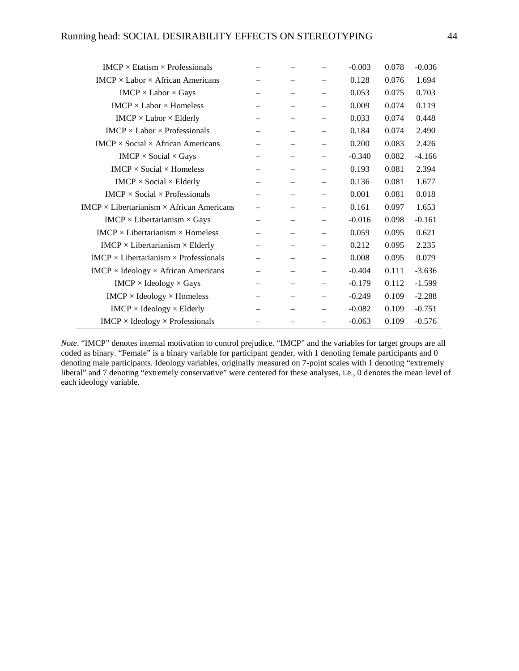| $IMCP \times Etatism \times Professionals$            |                          |                          |                          | $-0.003$ | 0.078 | $-0.036$ |
|-------------------------------------------------------|--------------------------|--------------------------|--------------------------|----------|-------|----------|
| $IMCP \times Labor \times African$ Americans          |                          |                          |                          | 0.128    | 0.076 | 1.694    |
| $IMCP \times Labor \times Gays$                       |                          |                          | —                        | 0.053    | 0.075 | 0.703    |
| $IMCP \times$ Labor $\times$ Homeless                 |                          |                          | —                        | 0.009    | 0.074 | 0.119    |
| $IMCP \times Labor \times Elderly$                    |                          |                          |                          | 0.033    | 0.074 | 0.448    |
| $IMCP \times Labor \times Professionals$              |                          |                          | $\overline{\phantom{0}}$ | 0.184    | 0.074 | 2.490    |
| $IMCP \times Social \times African$ Americans         |                          |                          | —                        | 0.200    | 0.083 | 2.426    |
| $IMCP \times Social \times Gays$                      |                          |                          | —                        | $-0.340$ | 0.082 | $-4.166$ |
| $IMCP \times Social \times Homeless$                  |                          |                          | $\overline{\phantom{0}}$ | 0.193    | 0.081 | 2.394    |
| $IMCP \times Social \times Elderly$                   |                          |                          |                          | 0.136    | 0.081 | 1.677    |
| $IMCP \times Social \times Professionals$             |                          | $\overline{\phantom{0}}$ | $\overline{\phantom{0}}$ | 0.001    | 0.081 | 0.018    |
| $IMCP \times Libertarianism \times African$ Americans |                          |                          | —                        | 0.161    | 0.097 | 1.653    |
| $IMCP \times Libertarianism \times Gays$              |                          |                          | $\overline{\phantom{0}}$ | $-0.016$ | 0.098 | $-0.161$ |
| $IMCP \times Libertarianism \times Homeless$          |                          |                          |                          | 0.059    | 0.095 | 0.621    |
| $IMCP \times Libertarianism \times Elderly$           |                          |                          |                          | 0.212    | 0.095 | 2.235    |
| $IMCP \times Libertarianism \times Professionals$     |                          |                          | —                        | 0.008    | 0.095 | 0.079    |
| $IMCP \times Ideology \times African$ Americans       |                          |                          | —                        | $-0.404$ | 0.111 | $-3.636$ |
| $IMCP \times Ideology \times Gays$                    |                          |                          | —                        | $-0.179$ | 0.112 | $-1.599$ |
| $IMCP \times Ideology \times Homeless$                | $\overline{\phantom{0}}$ |                          |                          | $-0.249$ | 0.109 | $-2.288$ |
| $IMCP \times Ideology \times Elderly$                 |                          |                          |                          | $-0.082$ | 0.109 | $-0.751$ |
| $IMCP \times Ideology \times Professionals$           |                          |                          | —                        | $-0.063$ | 0.109 | $-0.576$ |

*Note*. "IMCP" denotes internal motivation to control prejudice. "IMCP" and the variables for target groups are all coded as binary. "Female" is a binary variable for participant gender, with 1 denoting female participants and 0 denoting male participants. Ideology variables, originally measured on 7-point scales with 1 denoting "extremely liberal" and 7 denoting "extremely conservative" were centered for these analyses, i.e., 0 denotes the mean level of each ideology variable.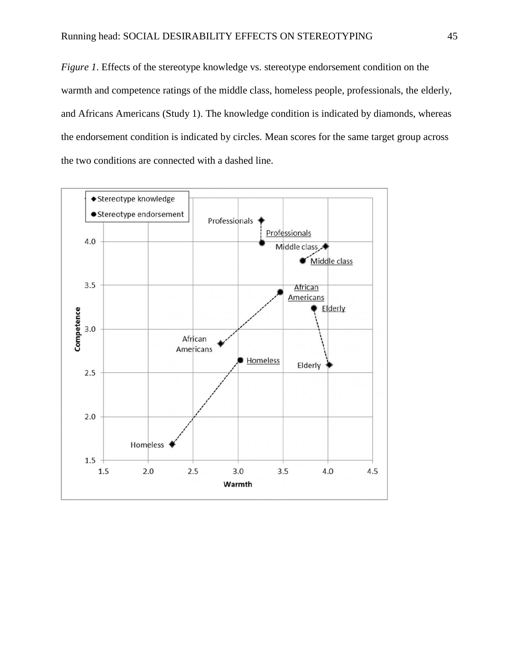*Figure 1*. Effects of the stereotype knowledge vs. stereotype endorsement condition on the warmth and competence ratings of the middle class, homeless people, professionals, the elderly, and Africans Americans (Study 1). The knowledge condition is indicated by diamonds, whereas the endorsement condition is indicated by circles. Mean scores for the same target group across the two conditions are connected with a dashed line.

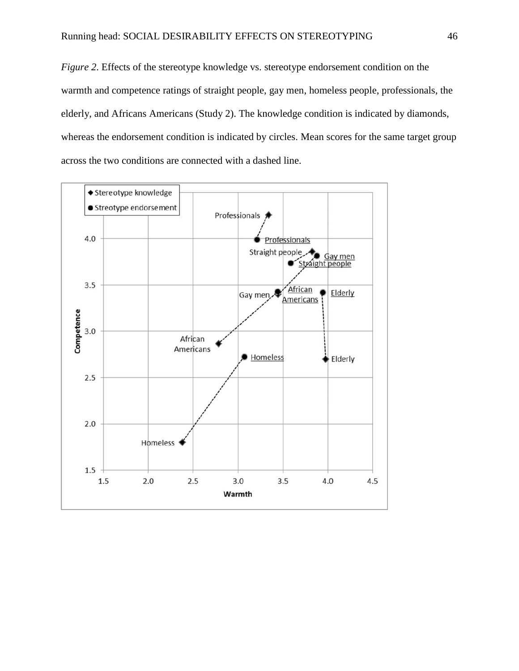*Figure 2*. Effects of the stereotype knowledge vs. stereotype endorsement condition on the warmth and competence ratings of straight people, gay men, homeless people, professionals, the elderly, and Africans Americans (Study 2). The knowledge condition is indicated by diamonds, whereas the endorsement condition is indicated by circles. Mean scores for the same target group across the two conditions are connected with a dashed line.

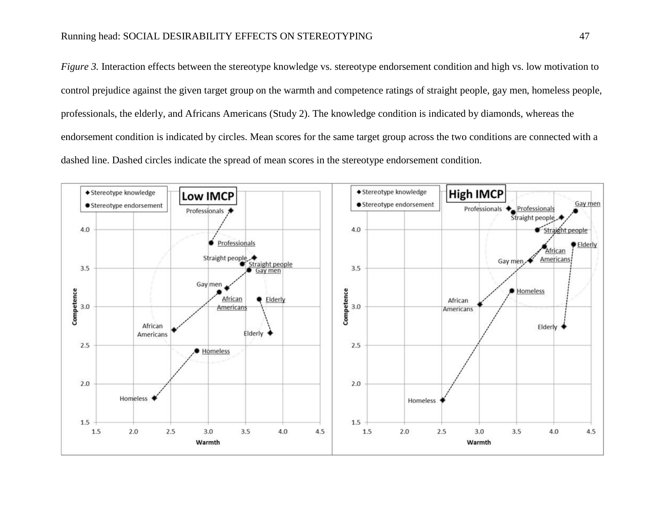*Figure* 3. Interaction effects between the stereotype knowledge vs. stereotype endorsement condition and high vs. low motivation to control prejudice against the given target group on the warmth and competence ratings of straight people, gay men, homeless people, professionals, the elderly, and Africans Americans (Study 2). The knowledge condition is indicated by diamonds, whereas the endorsement condition is indicated by circles. Mean scores for the same target group across the two conditions are connected with a dashed line. Dashed circles indicate the spread of mean scores in the stereotype endorsement condition.

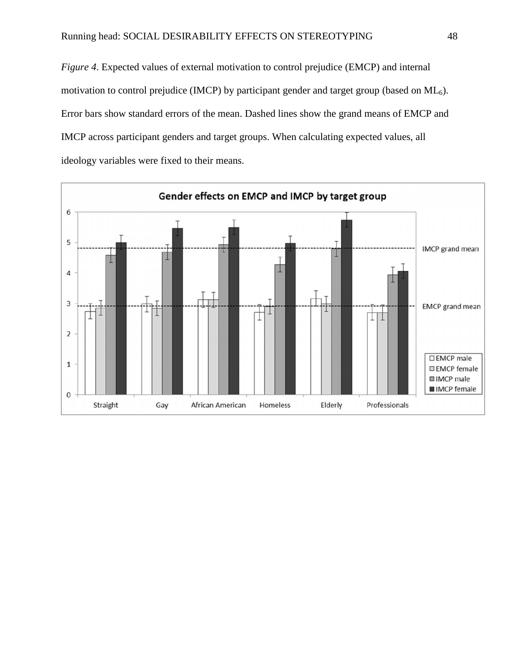*Figure 4*. Expected values of external motivation to control prejudice (EMCP) and internal motivation to control prejudice (IMCP) by participant gender and target group (based on  $ML<sub>6</sub>$ ). Error bars show standard errors of the mean. Dashed lines show the grand means of EMCP and IMCP across participant genders and target groups. When calculating expected values, all ideology variables were fixed to their means.

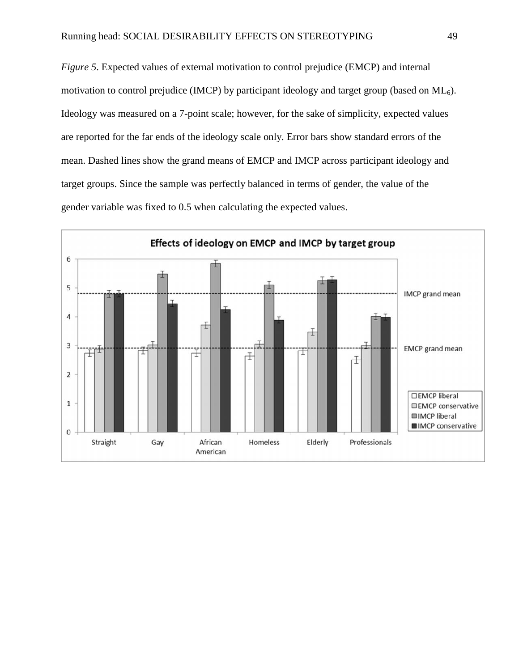*Figure 5*. Expected values of external motivation to control prejudice (EMCP) and internal motivation to control prejudice (IMCP) by participant ideology and target group (based on  $ML<sub>6</sub>$ ). Ideology was measured on a 7-point scale; however, for the sake of simplicity, expected values are reported for the far ends of the ideology scale only. Error bars show standard errors of the mean. Dashed lines show the grand means of EMCP and IMCP across participant ideology and target groups. Since the sample was perfectly balanced in terms of gender, the value of the gender variable was fixed to 0.5 when calculating the expected values.